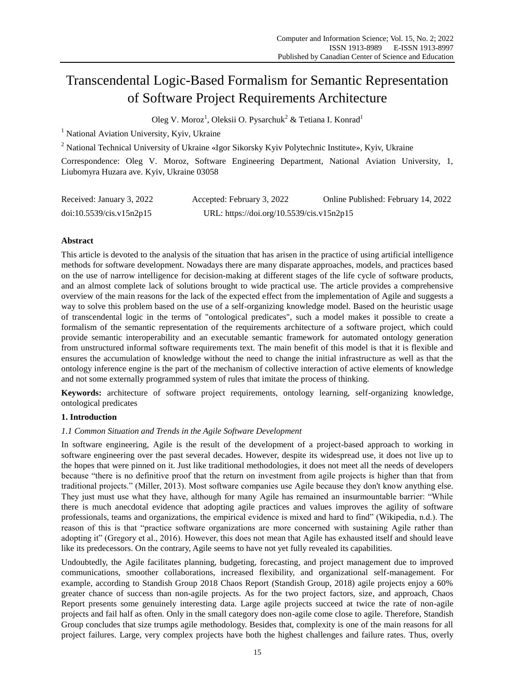# Transcendental Logic-Based Formalism for Semantic Representation of Software Project Requirements Architecture

Oleg V. Moroz<sup>1</sup>, Oleksii O. Pysarchuk<sup>2</sup> & Tetiana I. Konrad<sup>1</sup>

<sup>1</sup> National Aviation University, Kyiv, Ukraine

<sup>2</sup> National Technical University of Ukraine «Igor Sikorsky Kyiv Polytechnic Institute», Kyiv, Ukraine

Correspondence: Oleg V. Moroz, Software Engineering Department, National Aviation University, 1, Liubomyra Huzara ave. Kyiv, Ukraine 03058

| Received: January 3, 2022 | Accepted: February 3, 2022                | Online Published: February 14, 2022 |
|---------------------------|-------------------------------------------|-------------------------------------|
| doi:10.5539/cis.v15n2p15  | URL: https://doi.org/10.5539/cis.v15n2p15 |                                     |

# **Abstract**

This article is devoted to the analysis of the situation that has arisen in the practice of using artificial intelligence methods for software development. Nowadays there are many disparate approaches, models, and practices based on the use of narrow intelligence for decision-making at different stages of the life cycle of software products, and an almost complete lack of solutions brought to wide practical use. The article provides a comprehensive overview of the main reasons for the lack of the expected effect from the implementation of Agile and suggests a way to solve this problem based on the use of a self-organizing knowledge model. Based on the heuristic usage of transcendental logic in the terms of "ontological predicates", such a model makes it possible to create a formalism of the semantic representation of the requirements architecture of a software project, which could provide semantic interoperability and an executable semantic framework for automated ontology generation from unstructured informal software requirements text. The main benefit of this model is that it is flexible and ensures the accumulation of knowledge without the need to change the initial infrastructure as well as that the ontology inference engine is the part of the mechanism of collective interaction of active elements of knowledge and not some externally programmed system of rules that imitate the process of thinking.

**Keywords:** architecture of software project requirements, ontology learning, self-organizing knowledge, ontological predicates

# **1. Introduction**

# *1.1 Common Situation and Trends in the Agile Software Development*

In software engineering, Agile is the result of the development of a project-based approach to working in software engineering over the past several decades. However, despite its widespread use, it does not live up to the hopes that were pinned on it. Just like traditional methodologies, it does not meet all the needs of developers because "there is no definitive proof that the return on investment from agile projects is higher than that from traditional projects." (Miller, 2013). Most software companies use Agile because they don't know anything else. They just must use what they have, although for many Agile has remained an insurmountable barrier: "While there is much anecdotal evidence that adopting agile practices and values improves the agility of software professionals, teams and organizations, the empirical evidence is mixed and hard to find" (Wikipedia, n.d.). The reason of this is that "practice software organizations are more concerned with sustaining Agile rather than adopting it" (Gregory et al., 2016). However, this does not mean that Agile has exhausted itself and should leave like its predecessors. On the contrary, Agile seems to have not yet fully revealed its capabilities.

Undoubtedly, the Agile facilitates planning, budgeting, forecasting, and project management due to improved communications, smoother collaborations, increased flexibility, and organizational self-management. For example, according to Standish Group 2018 Chaos Report (Standish Group, 2018) agile projects enjoy a 60% greater chance of success than non-agile projects. As for the two project factors, size, and approach, Chaos Report presents some genuinely interesting data. Large agile projects succeed at twice the rate of non-agile projects and fail half as often. Only in the small category does non-agile come close to agile. Therefore, Standish Group concludes that size trumps agile methodology. Besides that, complexity is one of the main reasons for all project failures. Large, very complex projects have both the highest challenges and failure rates. Thus, overly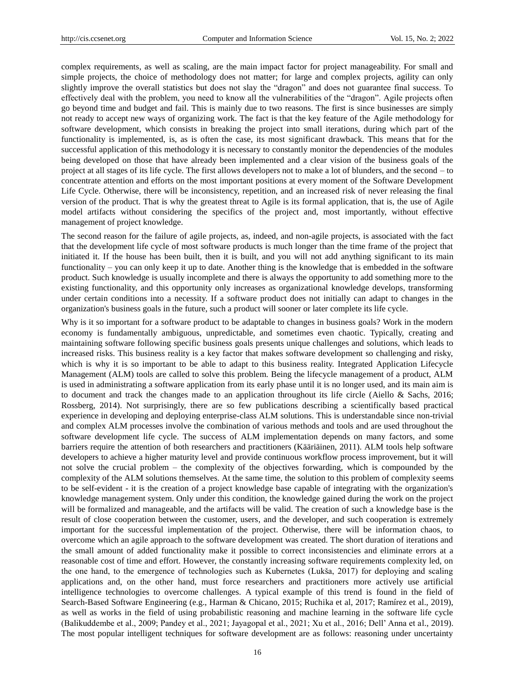complex requirements, as well as scaling, are the main impact factor for project manageability. For small and simple projects, the choice of methodology does not matter; for large and complex projects, agility can only slightly improve the overall statistics but does not slay the "dragon" and does not guarantee final success. To effectively deal with the problem, you need to know all the vulnerabilities of the "dragon". Agile projects often go beyond time and budget and fail. This is mainly due to two reasons. The first is since businesses are simply not ready to accept new ways of organizing work. The fact is that the key feature of the Agile methodology for software development, which consists in breaking the project into small iterations, during which part of the functionality is implemented, is, as is often the case, its most significant drawback. This means that for the successful application of this methodology it is necessary to constantly monitor the dependencies of the modules being developed on those that have already been implemented and a clear vision of the business goals of the project at all stages of its life cycle. The first allows developers not to make a lot of blunders, and the second – to concentrate attention and efforts on the most important positions at every moment of the Software Development Life Cycle. Otherwise, there will be inconsistency, repetition, and an increased risk of never releasing the final version of the product. That is why the greatest threat to Agile is its formal application, that is, the use of Agile model artifacts without considering the specifics of the project and, most importantly, without effective management of project knowledge.

The second reason for the failure of agile projects, as, indeed, and non-agile projects, is associated with the fact that the development life cycle of most software products is much longer than the time frame of the project that initiated it. If the house has been built, then it is built, and you will not add anything significant to its main functionality – you can only keep it up to date. Another thing is the knowledge that is embedded in the software product. Such knowledge is usually incomplete and there is always the opportunity to add something more to the existing functionality, and this opportunity only increases as organizational knowledge develops, transforming under certain conditions into a necessity. If a software product does not initially can adapt to changes in the organization's business goals in the future, such a product will sooner or later complete its life cycle.

Why is it so important for a software product to be adaptable to changes in business goals? Work in the modern economy is fundamentally ambiguous, unpredictable, and sometimes even chaotic. Typically, creating and maintaining software following specific business goals presents unique challenges and solutions, which leads to increased risks. This business reality is a key factor that makes software development so challenging and risky, which is why it is so important to be able to adapt to this business reality. Integrated Application Lifecycle Management (ALM) tools are called to solve this problem. Being the lifecycle management of a product, ALM is used in administrating a software application from its early phase until it is no longer used, and its main aim is to document and track the changes made to an application throughout its life circle [\(Aiello](https://www.worldcat.org/search?q=au%3AAiello%2C+Bob%2C&qt=hot_author) & [Sachs,](https://www.worldcat.org/search?q=au%3ASachs%2C+Leslie+A.%2C&qt=hot_author) 2016; Rossberg, 2014). Not surprisingly, there are so few publications describing a scientifically based practical experience in developing and deploying enterprise-class ALM solutions. This is understandable since non-trivial and complex ALM processes involve the combination of various methods and tools and are used throughout the software development life cycle. The success of ALM implementation depends on many factors, and some barriers require the attention of both researchers and practitioners (Kääriäinen, 2011). ALM tools help software developers to achieve a higher maturity level and provide continuous workflow process improvement, but it will not solve the crucial problem – the complexity of the objectives forwarding, which is compounded by the complexity of the ALM solutions themselves. At the same time, the solution to this problem of complexity seems to be self-evident - it is the creation of a project knowledge base capable of integrating with the organization's knowledge management system. Only under this condition, the knowledge gained during the work on the project will be formalized and manageable, and the artifacts will be valid. The creation of such a knowledge base is the result of close cooperation between the customer, users, and the developer, and such cooperation is extremely important for the successful implementation of the project. Otherwise, there will be information chaos, to overcome which an agile approach to the software development was created. The short duration of iterations and the small amount of added functionality make it possible to correct inconsistencies and eliminate errors at a reasonable cost of time and effort. However, the constantly increasing software requirements complexity led, on the one hand, to the emergence of technologies such as Kubernetes (Lukša, 2017) for deploying and scaling applications and, on the other hand, must force researchers and practitioners more actively use artificial intelligence technologies to overcome challenges. A typical example of this trend is found in the field of Search-Based Software Engineering (e.g., Harman & Chicano, 2015; Ruchika et al, 2017; Ramírez et al., 2019), as well as works in the field of using probabilistic reasoning and machine learning in the software life cycle (Balikuddembe et al., 2009; Pandey et al., 2021; Jayagopal et al., 2021; Xu et al., 2016; Dell' Anna et al., 2019). The most popular intelligent techniques for software development are as follows: reasoning under uncertainty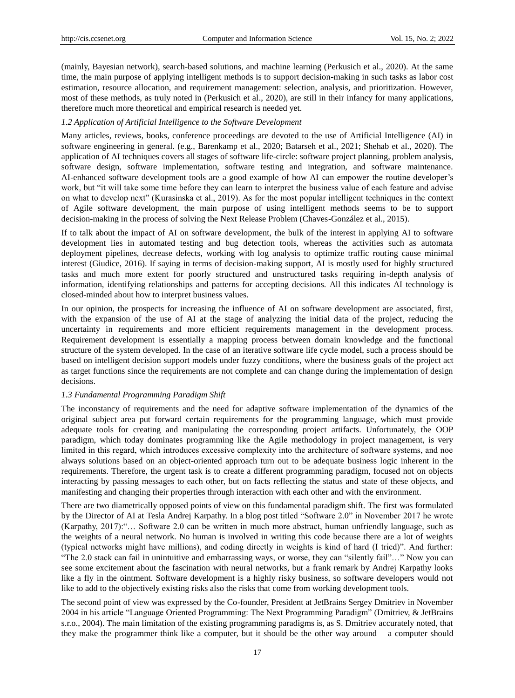(mainly, Bayesian network), search-based solutions, and machine learning (Perkusich et al., 2020). At the same time, the main purpose of applying intelligent methods is to support decision-making in such tasks as labor cost estimation, resource allocation, and requirement management: selection, analysis, and prioritization. However, most of these methods, as truly noted in (Perkusich et al., 2020), are still in their infancy for many applications, therefore much more theoretical and empirical research is needed yet.

# *1.2 Application of Artificial Intelligence to the Software Development*

Many articles, reviews, books, conference proceedings are devoted to the use of Artificial Intelligence (AI) in software engineering in general. (e.g., Barenkamp et al., 2020; Batarseh et al., 2021; Shehab et al., 2020). The application of AI techniques covers all stages of software life-circle: software project planning, problem analysis, software design, software implementation, software testing and integration, and software maintenance. AI-enhanced software development tools are a good example of how AI can empower the routine developer's work, but "it will take some time before they can learn to interpret the business value of each feature and advise on what to develop next" (Kurasinska et al., 2019). As for the most popular intelligent techniques in the context of Agile software development, the main purpose of using intelligent methods seems to be to support decision-making in the process of solving the Next Release Problem (Chaves-González et al., 2015).

If to talk about the impact of AI on software development, the bulk of the interest in applying AI to software development lies in automated testing and bug detection tools, whereas the activities such as automata deployment pipelines, decrease defects, working with log analysis to optimize traffic routing cause minimal interest (Giudice, 2016). If saying in terms of decision-making support, AI is mostly used for highly structured tasks and much more extent for poorly structured and unstructured tasks requiring in-depth analysis of information, identifying relationships and patterns for accepting decisions. All this indicates AI technology is closed-minded about how to interpret business values.

In our opinion, the prospects for increasing the influence of AI on software development are associated, first, with the expansion of the use of AI at the stage of analyzing the initial data of the project, reducing the uncertainty in requirements and more efficient requirements management in the development process. Requirement development is essentially a mapping process between domain knowledge and the functional structure of the system developed. In the case of an iterative software life cycle model, such a process should be based on intelligent decision support models under fuzzy conditions, where the business goals of the project act as target functions since the requirements are not complete and can change during the implementation of design decisions.

## *1.3 Fundamental Programming Paradigm Shift*

The inconstancy of requirements and the need for adaptive software implementation of the dynamics of the original subject area put forward certain requirements for the programming language, which must provide adequate tools for creating and manipulating the corresponding project artifacts. Unfortunately, the OOP paradigm, which today dominates programming like the Agile methodology in project management, is very limited in this regard, which introduces excessive complexity into the architecture of software systems, and noе always solutions based on an object-oriented approach turn out to be adequate business logic inherent in the requirements. Therefore, the urgent task is to create a different programming paradigm, focused not on objects interacting by passing messages to each other, but on facts reflecting the status and state of these objects, and manifesting and changing their properties through interaction with each other and with the environment.

There are two diametrically opposed points of view on this fundamental paradigm shift. The first was formulated by the Director of AI at Tesla Andrej Karpathy. In [a blog post](https://medium.com/@karpathy/software-2-0-a64152b37c35) titled "Software 2.0" in November 2017 he wrote (Karpathy, 2017):"… Software 2.0 can be written in much more abstract, human unfriendly language, such as the weights of a neural network. No human is involved in writing this code because there are a lot of weights (typical networks might have millions), and coding directly in weights is kind of hard (I tried)". And further: "The 2.0 stack can [fail in unintuitive and embarrassing ways,](https://motherboard.vice.com/en_us/article/nz7798/weve-already-taught-artificial-intelligence-to-be-racist-sexist) or worse, they can "silently fail"…" Now you can see some excitement about the fascination with neural networks, but a frank remark by Andrej Karpathy looks like a fly in the ointment. Software development is a highly risky business, so software developers would not like to add to the objectively existing risks also the risks that come from working development tools.

The second point of view was expressed by the Co-founder, President at JetBrains Sergey Dmitriev in November 2004 in his article "Language Oriented Programming: The Next Programming Paradigm" (Dmitriev, & JetBrains s.r.o., 2004). The main limitation of the existing programming paradigms is, as S. Dmitriev accurately noted, that they make the programmer think like a computer, but it should be the other way around – a computer should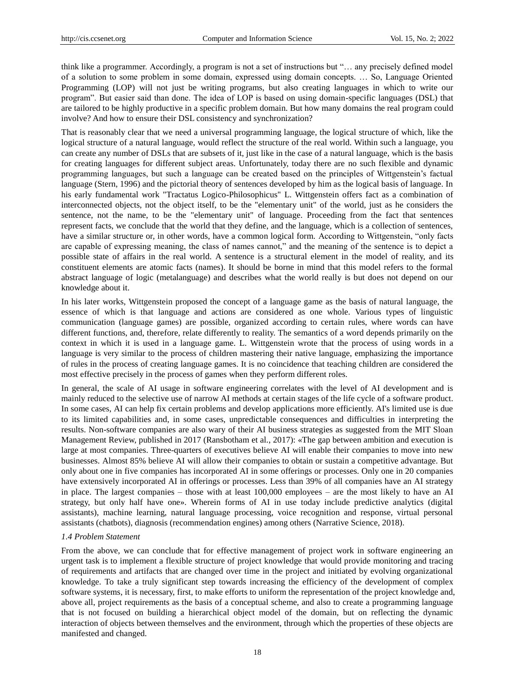think like a programmer. Accordingly, a program is not a set of instructions but "… any precisely defined model of a solution to some problem in some domain, expressed using domain concepts. … So, Language Oriented Programming (LOP) will not just be writing programs, but also creating languages in which to write our program". But easier said than done. The idea of LOP is based on using domain-specific languages (DSL) that are tailored to be highly productive in a specific problem domain. But how many domains the real program could involve? And how to ensure their DSL consistency and synchronization?

That is reasonably clear that we need a universal programming language, the logical structure of which, like the logical structure of a natural language, would reflect the structure of the real world. Within such a language, you can create any number of DSLs that are subsets of it, just like in the case of a natural language, which is the basis for creating languages for different subject areas. Unfortunately, today there are no such flexible and dynamic programming languages, but such a language can be created based on the principles of Wittgenstein's factual language (Stern, 1996) and the pictorial theory of sentences developed by him as the logical basis of language. In his early fundamental work "Tractatus Logico-Philosophicus" L. Wittgenstein offers fact as a combination of interconnected objects, not the object itself, to be the "elementary unit" of the world, just as he considers the sentence, not the name, to be the "elementary unit" of language. Proceeding from the fact that sentences represent facts, we conclude that the world that they define, and the language, which is a collection of sentences, have a similar structure or, in other words, have a common logical form. According to Wittgenstein, "only facts are capable of expressing meaning, the class of names cannot," and the meaning of the sentence is to depict a possible state of affairs in the real world. A sentence is a structural element in the model of reality, and its constituent elements are atomic facts (names). It should be borne in mind that this model refers to the formal abstract language of logic (metalanguage) and describes what the world really is but does not depend on our knowledge about it.

In his later works, Wittgenstein proposed the concept of a language game as the basis of natural language, the essence of which is that language and actions are considered as one whole. Various types of linguistic communication (language games) are possible, organized according to certain rules, where words can have different functions, and, therefore, relate differently to reality. The semantics of a word depends primarily on the context in which it is used in a language game. L. Wittgenstein wrote that the process of using words in a language is very similar to the process of children mastering their native language, emphasizing the importance of rules in the process of creating language games. It is no coincidence that teaching children are considered the most effective precisely in the process of games when they perform different roles.

In general, the scale of AI usage in software engineering correlates with the level of AI development and is mainly reduced to the selective use of narrow AI methods at certain stages of the life cycle of a software product. In some cases, AI can help fix certain problems and develop applications more efficiently. AI's limited use is due to its limited capabilities and, in some cases, unpredictable consequences and difficulties in interpreting the results. Non-software companies are also wary of their AI business strategies as suggested from the MIT Sloan Management Review, published in 2017 (Ransbotham et al., 2017): «The gap between ambition and execution is large at most companies. Three-quarters of executives believe AI will enable their companies to move into new businesses. Almost 85% believe AI will allow their companies to obtain or sustain a competitive advantage. But only about one in five companies has incorporated AI in some offerings or processes. Only one in 20 companies have extensively incorporated AI in offerings or processes. Less than 39% of all companies have an AI strategy in place. The largest companies – those with at least 100,000 employees – are the most likely to have an AI strategy, but only half have one». Wherein forms of AI in use today include predictive analytics (digital assistants), machine learning, natural language processing, voice recognition and response, virtual personal assistants (chatbots), diagnosis (recommendation engines) among others (Narrative Science, 2018).

## *1.4 Problem Statement*

From the above, we can conclude that for effective management of project work in software engineering an urgent task is to implement a flexible structure of project knowledge that would provide monitoring and tracing of requirements and artifacts that are changed over time in the project and initiated by evolving organizational knowledge. To take a truly significant step towards increasing the efficiency of the development of complex software systems, it is necessary, first, to make efforts to uniform the representation of the project knowledge and, above all, project requirements as the basis of a conceptual scheme, and also to create a programming language that is not focused on building a hierarchical object model of the domain, but on reflecting the dynamic interaction of objects between themselves and the environment, through which the properties of these objects are manifested and changed.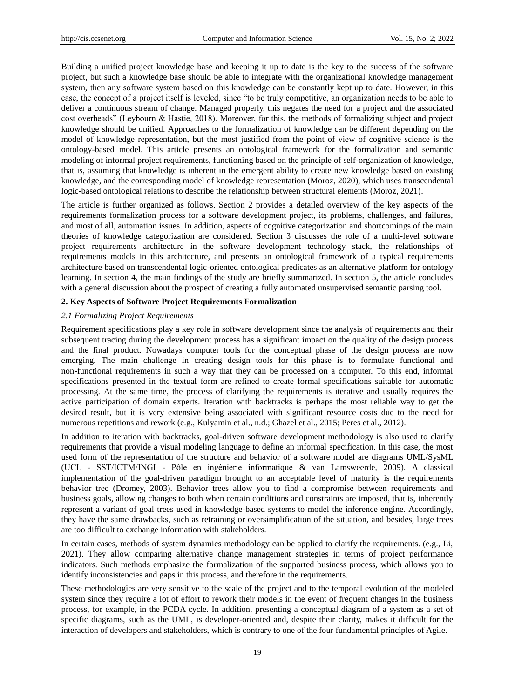Building a unified project knowledge base and keeping it up to date is the key to the success of the software project, but such a knowledge base should be able to integrate with the organizational knowledge management system, then any software system based on this knowledge can be constantly kept up to date. However, in this case, the concept of a project itself is leveled, since "to be truly competitive, an organization needs to be able to deliver a continuous stream of change. Managed properly, this negates the need for a project and the associated cost overheads" (Leybourn & Hastie, 2018). Moreover, for this, the methods of formalizing subject and project knowledge should be unified. Approaches to the formalization of knowledge can be different depending on the model of knowledge representation, but the most justified from the point of view of cognitive science is the ontology-based model. This article presents an ontological framework for the formalization and semantic modeling of informal project requirements, functioning based on the principle of self-organization of knowledge, that is, assuming that knowledge is inherent in the emergent ability to create new knowledge based on existing knowledge, and the corresponding model of knowledge representation (Moroz, 2020), which uses transcendental logic-based ontological relations to describe the relationship between structural elements (Moroz, 2021).

The article is further organized as follows. Section 2 provides a detailed overview of the key aspects of the requirements formalization process for a software development project, its problems, challenges, and failures, and most of all, automation issues. In addition, aspects of cognitive categorization and shortcomings of the main theories of knowledge categorization are considered. Section 3 discusses the role of a multi-level software project requirements architecture in the software development technology stack, the relationships of requirements models in this architecture, and presents an ontological framework of a typical requirements architecture based on transcendental logic-oriented ontological predicates as an alternative platform for ontology learning. In section 4, the main findings of the study are briefly summarized. In section 5, the article concludes with a general discussion about the prospect of creating a fully automated unsupervised semantic parsing tool.

# **2. Key Aspects of Software Project Requirements Formalization**

# *2.1 Formalizing Project Requirements*

Requirement specifications play a key role in software development since the analysis of requirements and their subsequent tracing during the development process has a significant impact on the quality of the design process and the final product. Nowadays computer tools for the conceptual phase of the design process are now emerging. The main challenge in creating design tools for this phase is to formulate functional and non-functional requirements in such a way that they can be processed on a computer. To this end, informal specifications presented in the textual form are refined to create formal specifications suitable for automatic processing. At the same time, the process of clarifying the requirements is iterative and usually requires the active participation of domain experts. Iteration with backtracks is perhaps the most reliable way to get the desired result, but it is very extensive being associated with significant resource costs due to the need for numerous repetitions and rework (e.g., Kulyamin et al., n.d.; Ghazel et al., 2015; Peres et al., 2012).

In addition to iteration with backtracks, goal-driven software development methodology is also used to clarify requirements that provide a visual modeling language to define an informal specification. In this case, the most used form of the representation of the structure and behavior of a software model are diagrams UML/SysML (UCL - SST/ICTM/INGI - Pôle en ingénierie informatique & van Lamsweerde, 2009). A classical implementation of the goal-driven paradigm brought to an acceptable level of maturity is the requirements behavior tree (Dromey, 2003). Behavior trees allow you to find a compromise between requirements and business goals, allowing changes to both when certain conditions and constraints are imposed, that is, inherently represent a variant of goal trees used in knowledge-based systems to model the inference engine. Accordingly, they have the same drawbacks, such as retraining or oversimplification of the situation, and besides, large trees are too difficult to exchange information with stakeholders.

In certain cases, methods of system dynamics methodology can be applied to clarify the requirements. (e.g., Li, 2021). They allow comparing alternative change management strategies in terms of project performance indicators. Such methods emphasize the formalization of the supported business process, which allows you to identify inconsistencies and gaps in this process, and therefore in the requirements.

These methodologies are very sensitive to the scale of the project and to the temporal evolution of the modeled system since they require a lot of effort to rework their models in the event of frequent changes in the business process, for example, in the PCDA cycle. In addition, presenting a conceptual diagram of a system as a set of specific diagrams, such as the UML, is developer-oriented and, despite their clarity, makes it difficult for the interaction of developers and stakeholders, which is contrary to one of the four fundamental principles of Agile.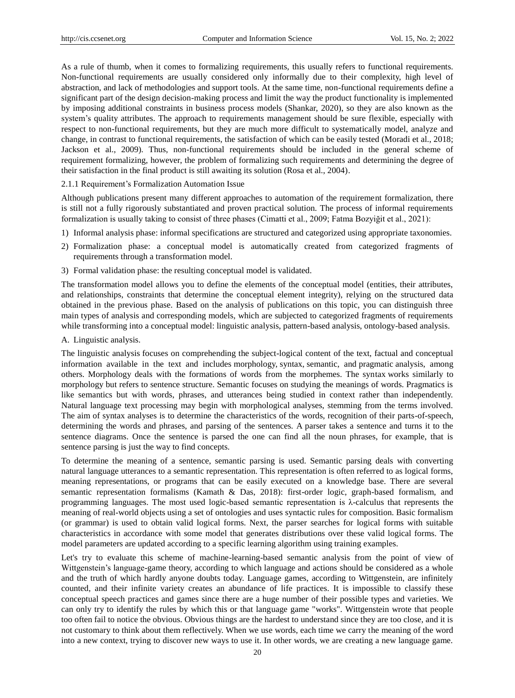As a rule of thumb, when it comes to formalizing requirements, this usually refers to functional requirements. Non-functional requirements are usually considered only informally due to their complexity, high level of abstraction, and lack of methodologies and support tools. At the same time, non-functional requirements define a significant part of the design decision-making process and limit the way the product functionality is implemented by imposing additional constraints in business process models (Shankar, 2020), so they are also known as the system's quality attributes. The approach to requirements management should be sure flexible, especially with respect to non-functional requirements, but they are much more difficult to systematically model, analyze and change, in contrast to functional requirements, the satisfaction of which can be easily tested (Moradi et al., 2018; Jackson et al., 2009). Thus, non-functional requirements should be included in the general scheme of requirement formalizing, however, the problem of formalizing such requirements and determining the degree of their satisfaction in the final product is still awaiting its solution (Rosa et al., 2004).

## 2.1.1 Requirement's Formalization Automation Issue

Although publications present many different approaches to automation of the requirement formalization, there is still not a fully rigorously substantiated and proven practical solution. The process of informal requirements formalization is usually taking to consist of three phases (Cimatti et al., 2009; Fatma Bozyiğit et al., 2021):

- 1) Informal analysis phase: informal specifications are structured and categorized using appropriate taxonomies.
- 2) Formalization phase: a conceptual model is automatically created from categorized fragments of requirements through a transformation model.
- 3) Formal validation phase: the resulting conceptual model is validated.

The transformation model allows you to define the elements of the conceptual model (entities, their attributes, and relationships, constraints that determine the conceptual element integrity), relying on the structured data obtained in the previous phase. Based on the analysis of publications on this topic, you can distinguish three main types of analysis and corresponding models, which are subjected to categorized fragments of requirements while transforming into a conceptual model: linguistic analysis, pattern-based analysis, ontology-based analysis.

#### A. Linguistic analysis.

The linguistic analysis focuses on comprehending the subject-logical content of the text, factual and conceptual information available in the text and includes [morphology,](https://en.wikipedia.org/wiki/Morphology_(linguistics)) [syntax,](https://en.wikipedia.org/wiki/Syntax) [semantic,](https://en.wikipedia.org/wiki/Semantics) and [pragmatic](https://en.wikipedia.org/wiki/Pragmatics) analysis, among others. Morphology deals with the formations of words from the morphemes. The syntax works similarly to morphology but refers to sentence structure. Semantic focuses on studying the meanings of words. Pragmatics is like semantics but with words, phrases, and utterances being studied in context rather than independently. Natural language text processing may begin with morphological analyses, stemming from the terms involved. The aim of syntax analyses is to determine the characteristics of the words, recognition of their parts-of-speech, determining the words and phrases, and parsing of the sentences. A parser takes a sentence and turns it to the sentence diagrams. Once the sentence is parsed the one can find all the noun phrases, for example, that is sentence parsing is just the way to find concepts.

To determine the meaning of a sentence, semantic parsing is used. Semantic parsing deals with converting natural language utterances to a semantic representation. This representation is often referred to as logical forms, meaning representations, or programs that can be easily executed on a knowledge base. There are several semantic representation formalisms (Kamath & Das, 2018): first-order logic, graph-based formalism, and programming languages. The most used logic-based semantic representation is λ-calculus that represents the meaning of real-world objects using a set of ontologies and uses syntactic rules for composition. Basic formalism (or grammar) is used to obtain valid logical forms. Next, the parser searches for logical forms with suitable characteristics in accordance with some model that generates distributions over these valid logical forms. The model parameters are updated according to a specific learning algorithm using training examples.

Let's try to evaluate this scheme of machine-learning-based semantic analysis from the point of view of Wittgenstein's language-game theory, according to which language and actions should be considered as a whole and the truth of which hardly anyone doubts today. Language games, according to Wittgenstein, are infinitely counted, and their infinite variety creates an abundance of life practices. It is impossible to classify these conceptual speech practices and games since there are a huge number of their possible types and varieties. We can only try to identify the rules by which this or that language game "works". Wittgenstein wrote that people too often fail to notice the obvious. Obvious things are the hardest to understand since they are too close, and it is not customary to think about them reflectively. When we use words, each time we carry the meaning of the word into a new context, trying to discover new ways to use it. In other words, we are creating a new language game.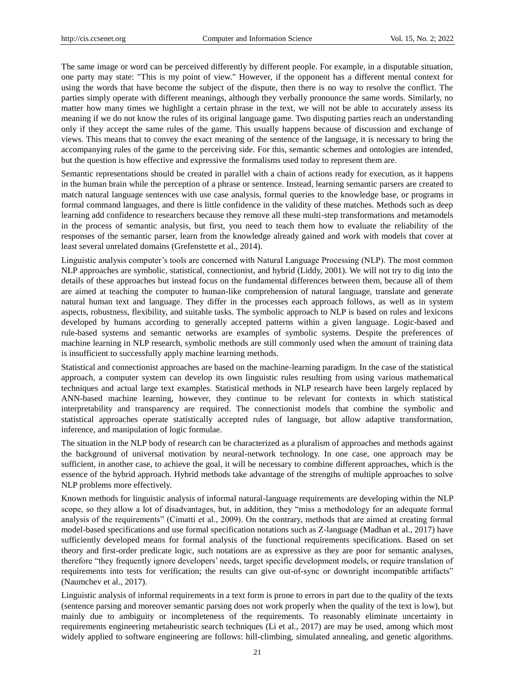The same image or word can be perceived differently by different people. For example, in a disputable situation, one party may state: "This is my point of view." However, if the opponent has a different mental context for using the words that have become the subject of the dispute, then there is no way to resolve the conflict. The parties simply operate with different meanings, although they verbally pronounce the same words. Similarly, no matter how many times we highlight a certain phrase in the text, we will not be able to accurately assess its meaning if we do not know the rules of its original language game. Two disputing parties reach an understanding only if they accept the same rules of the game. This usually happens because of discussion and exchange of views. This means that to convey the exact meaning of the sentence of the language, it is necessary to bring the accompanying rules of the game to the perceiving side. For this, semantic schemes and ontologies are intended, but the question is how effective and expressive the formalisms used today to represent them are.

Semantic representations should be created in parallel with a chain of actions ready for execution, as it happens in the human brain while the perception of a phrase or sentence. Instead, learning semantic parsers are created to match natural language sentences with use case analysis, formal queries to the knowledge base, or programs in formal command languages, and there is little confidence in the validity of these matches. Methods such as deep learning add confidence to researchers because they remove all these multi-step transformations and metamodels in the process of semantic analysis, but first, you need to teach them how to evaluate the reliability of the responses of the semantic parser, learn from the knowledge already gained and work with models that cover at least several unrelated domains (Grefenstette et al., 2014).

Linguistic analysis computer's tools are concerned with Natural Language Processing (NLP). The most common NLP approaches are symbolic, statistical, connectionist, and hybrid (Liddy, 2001). We will not try to dig into the details of these approaches but instead focus on the fundamental differences between them, because all of them are aimed at teaching the computer to human-like comprehension of natural language, translate and generate natural human text and language. They differ in the processes each approach follows, as well as in system aspects, robustness, flexibility, and suitable tasks. The symbolic approach to NLP is based on rules and lexicons developed by humans according to generally accepted patterns within a given language. Logic-based and rule-based systems and semantic networks are examples of symbolic systems. Despite the preferences of machine learning in NLP research, symbolic methods are still commonly used when the amount of training data is insufficient to successfully apply machine learning methods.

Statistical and connectionist approaches are based on the machine-learning paradigm. In the case of the statistical approach, a computer system can develop its own linguistic rules resulting from using various mathematical techniques and actual large text examples. Statistical methods in NLP research have been largely replaced by ANN-based machine learning, however, they continue to be relevant for contexts in which statistical interpretability and transparency are required. The connectionist models that combine the symbolic and statistical approaches operate statistically accepted rules of language, but allow adaptive transformation, inference, and manipulation of logic formulae.

The situation in the NLP body of research can be characterized as a pluralism of approaches and methods against the background of universal motivation by neural-network technology. In one case, one approach may be sufficient, in another case, to achieve the goal, it will be necessary to combine different approaches, which is the essence of the hybrid approach. Hybrid methods take advantage of the strengths of multiple approaches to solve NLP problems more effectively.

Known methods for linguistic analysis of informal natural-language requirements are developing within the NLP scope, so they allow a lot of disadvantages, but, in addition, they "miss a methodology for an adequate formal analysis of the requirements" (Cimatti et al., 2009). On the contrary, methods that are aimed at creating formal model-based specifications and use formal specification notations such as Z-language (Madhan et al., 2017) have sufficiently developed means for formal analysis of the functional requirements specifications. Based on set theory and first-order predicate logic, such notations are as expressive as they are poor for semantic analyses, therefore "they frequently ignore developers' needs, target specific development models, or require translation of requirements into tests for verification; the results can give out-of-sync or downright incompatible artifacts" (Naumchev et al., 2017).

Linguistic analysis of informal requirements in a text form is prone to errors in part due to the quality of the texts (sentence parsing and moreover semantic parsing does not work properly when the quality of the text is low), but mainly due to ambiguity or incompleteness of the requirements. To reasonably eliminate uncertainty in requirements engineering [metaheuristic](https://en.wikipedia.org/wiki/Metaheuristic) search techniques (Li et al., 2017) are may be used, among which most widely applied to software engineering are follows: hill-climbing, simulated annealing, and genetic algorithms.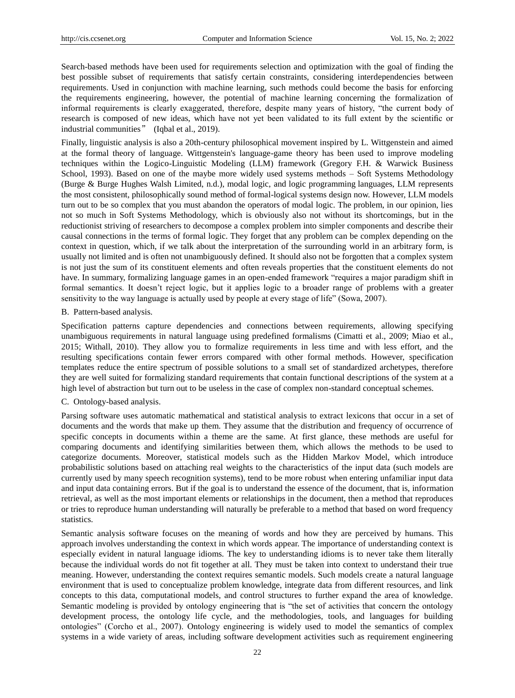Search-based methods have been used for requirements selection and optimization with the goal of finding the best possible subset of requirements that satisfy certain constraints, considering interdependencies between requirements. Used in conjunction with machine learning, such methods could become the basis for enforcing the requirements engineering, however, the potential of machine learning concerning the formalization of informal requirements is clearly exaggerated, therefore, despite many years of history, "the current body of research is composed of new ideas, which have not yet been validated to its full extent by the scientific or industrial communities" (Iqbal et al., 2019).

Finally, linguistic analysis is also a 20th-century philosophical movement inspired by L. Wittgenstein and aimed at the formal theory of language. Wittgenstein's language-game theory has been used to improve modeling techniques within the Logico-Linguistic Modeling (LLM) framework (Gregory F.H. & Warwick Business School, 1993). Based on one of the maybe more widely used systems methods – Soft Systems Methodology (Burge & Burge Hughes Walsh Limited, n.d.), modal logic, and [logic programming](https://en.wikipedia.org/wiki/Logic_programming) languages, LLM represents the most consistent, philosophically sound method of formal-logical systems design now. However, LLM models turn out to be so complex that you must abandon the operators of modal logic. The problem, in our opinion, lies not so much in Soft Systems Methodology, which is obviously also not without its shortcomings, but in the reductionist striving of researchers to decompose a complex problem into simpler components and describe their causal connections in the terms of formal logic. They forget that any problem can be complex depending on the context in question, which, if we talk about the interpretation of the surrounding world in an arbitrary form, is usually not limited and is often not unambiguously defined. It should also not be forgotten that a complex system is not just the sum of its constituent elements and often reveals properties that the constituent elements do not have. In summary, formalizing language games in an open-ended framework "requires a major paradigm shift in formal semantics. It doesn't reject logic, but it applies logic to a broader range of problems with a greater sensitivity to the way language is actually used by people at every stage of life" (Sowa, 2007).

#### B. Pattern-based analysis.

Specification patterns capture dependencies and connections between requirements, allowing specifying unambiguous requirements in natural language using predefined formalisms (Cimatti et al., 2009; Miao et al., 2015; Withall, 2010). They allow you to formalize requirements in less time and with less effort, and the resulting specifications contain fewer errors compared with other formal methods. However, specification templates reduce the entire spectrum of possible solutions to a small set of standardized archetypes, therefore they are well suited for formalizing standard requirements that contain functional descriptions of the system at a high level of abstraction but turn out to be useless in the case of complex non-standard conceptual schemes.

#### C. Ontology-based analysis.

Parsing software uses automatic mathematical and statistical analysis to extract lexicons that occur in a set of documents and the words that make up them. They assume that the distribution and frequency of occurrence of specific concepts in documents within a theme are the same. At first glance, these methods are useful for comparing documents and identifying similarities between them, which allows the methods to be used to categorize documents. Moreover, statistical models such as the Hidden Markov Model, which introduce probabilistic solutions based on attaching real weights to the characteristics of the input data (such models are currently used by many speech recognition systems), tend to be more robust when entering unfamiliar input data and input data containing errors. But if the goal is to understand the essence of the document, that is, information retrieval, as well as the most important elements or relationships in the document, then a method that reproduces or tries to reproduce human understanding will naturally be preferable to a method that based on word frequency statistics.

Semantic analysis software focuses on the meaning of words and how they are perceived by humans. This approach involves understanding the context in which words appear. The importance of understanding context is especially evident in natural language idioms. The key to understanding idioms is to never take them literally because the individual words do not fit together at all. They must be taken into context to understand their true meaning. However, understanding the context requires semantic models. Such models create a natural language environment that is used to conceptualize problem knowledge, integrate data from different resources, and link concepts to this data, computational models, and control structures to further expand the area of knowledge. Semantic modeling is provided by ontology engineering that is "the set of activities that concern the ontology development process, the ontology life cycle, and the methodologies, tools, and languages for building ontologies" (Corcho et al., 2007). Ontology engineering is widely used to model the semantics of complex systems in a wide variety of areas, including software development activities such as requirement engineering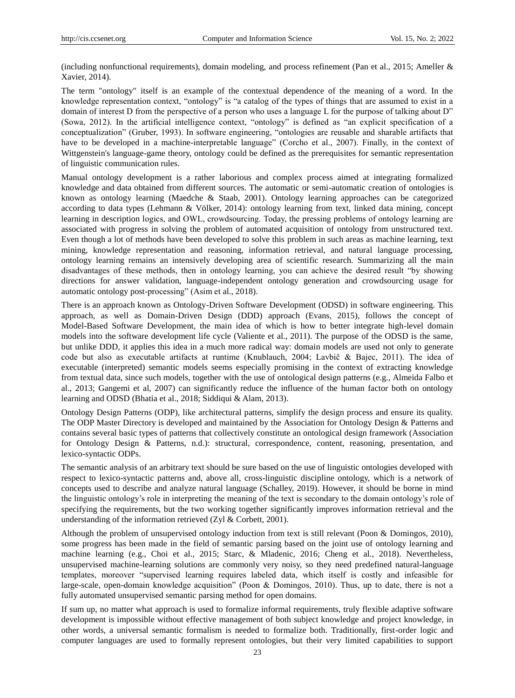(including nonfunctional requirements), domain modeling, and process refinement (Pan et al., 2015; Ameller & Xavier, 2014).

The term "ontology" itself is an example of the contextual dependence of the meaning of a word. In the knowledge representation context, "ontology" is "a catalog of the types of things that are assumed to exist in a domain of interest D from the perspective of a person who uses a language L for the purpose of talking about D" (Sowa, 2012). In the artificial intelligence context, "ontology" is defined as "an explicit specification of a conceptualization" (Gruber, 1993). In software engineering, "ontologies are reusable and sharable artifacts that have to be developed in a machine-interpretable language" (Corcho et al., 2007). Finally, in the context of Wittgenstein's language-game theory, ontology could be defined as the prerequisites for semantic representation of linguistic communication rules.

Manual ontology development is a rather laborious and complex process aimed at integrating formalized knowledge and data obtained from different sources. The automatic or semi-automatic creation of ontologies is known as ontology learning (Maedche & Staab, 2001). Ontology learning approaches can be categorized according to data types (Lehmann & Völker, 2014): ontology learning from text, linked data mining, concept learning in description logics, and OWL, сrowdsourcing. Today, the pressing problems of ontology learning are associated with progress in solving the problem of automated acquisition of ontology from unstructured text. Even though a lot of methods have been developed to solve this problem in such areas as machine learning, text mining, knowledge representation and reasoning, information retrieval, and natural language processing, ontology learning remains an intensively developing area of scientific research. Summarizing all the main disadvantages of these methods, then in ontology learning, you can achieve the desired result "by showing directions for answer validation, language-independent ontology generation and crowdsourcing usage for automatic ontology post-processing" (Asim et al., 2018).

There is an approach known as Ontology-Driven Software Development (ODSD) in software engineering. This approach, as well as Domain-Driven Design (DDD) approach (Evans, 2015), follows the concept of Model-Based Software Development, the main idea of which is how to better integrate high-level domain models into the software development life cycle (Valiente et al., 2011). The purpose of the ODSD is the same, but unlike DDD, it applies this idea in a much more radical way: domain models are used not only to generate code but also as executable artifacts at runtime (Knublauch, 2004; Lavbič & Bajec, 2011). The idea of executable (interpreted) semantic models seems especially promising in the context of extracting knowledge from textual data, since such models, together with the use of ontological design patterns (e.g., Almeida Falbo et al., 2013; Gangemi et al, 2007) can significantly reduce the influence of the human factor both on ontology learning and ODSD (Bhatia et al., 2018; Siddiqui & Alam, 2013).

Ontology Design Patterns (ODP), like architectural patterns, simplify the design process and ensure its quality. The ODP Master Directory is developed and maintained by the Association for Ontology Design & Patterns and contains several basic types of patterns that collectively constitute an ontological design framework (Association for Ontology Design & Patterns, n.d.): structural, correspondence, content, reasoning, presentation, and lexico-syntactic ODPs.

The semantic analysis of an arbitrary text should be sure based on the use of linguistic ontologies developed with respect to lexico-syntactic patterns and, above all, cross-linguistic discipline ontology, which is a network of concepts used to describe and analyze natural language (Schalley, 2019). However, it should be borne in mind the linguistic ontology's role in interpreting the meaning of the text is secondary to the domain ontology's role of specifying the requirements, but the two working together significantly improves information retrieval and the understanding of the information retrieved (Zyl & Corbett, 2001).

Although the problem of unsupervised ontology induction from text is still relevant (Poon & Domingos, 2010), some progress has been made in the field of semantic parsing based on the joint use of ontology learning and machine learning (e.g., Choi et al., 2015; Starc, & Mladenic, 2016; Cheng et al., 2018). Nevertheless, unsupervised machine-learning solutions are commonly very noisy, so they need predefined natural-language templates, moreover "supervised learning requires labeled data, which itself is costly and infeasible for large-scale, open-domain knowledge acquisition" (Poon & Domingos, 2010). Thus, up to date, there is not a fully automated unsupervised semantic parsing method for open domains.

If sum up, no matter what approach is used to formalize informal requirements, truly flexible adaptive software development is impossible without effective management of both subject knowledge and project knowledge, in other words, a universal semantic formalism is needed to formalize both. Traditionally, first-order logic and computer languages are used to formally represent ontologies, but their very limited capabilities to support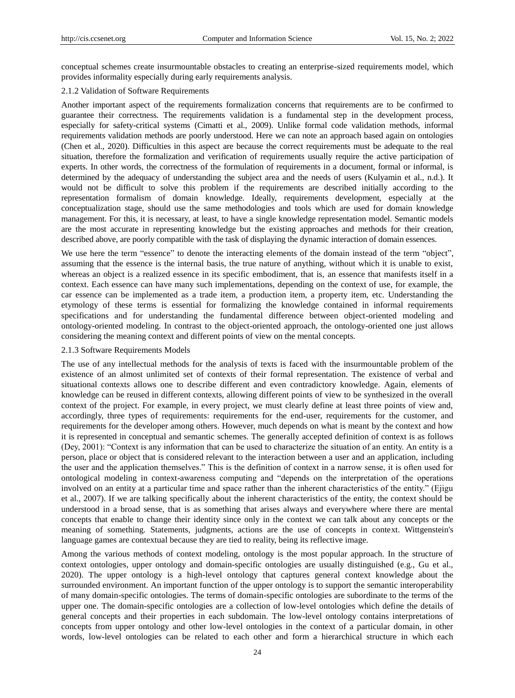conceptual schemes create insurmountable obstacles to creating an enterprise-sized requirements model, which provides informality especially during early requirements analysis.

# 2.1.2 Validation of Software Requirements

Another important aspect of the requirements formalization concerns that requirements are to be confirmed to guarantee their correctness. The requirements validation is a fundamental step in the development process, especially for safety-critical systems (Cimatti et al., 2009). Unlike formal code validation methods, informal requirements validation methods are poorly understood. Here we can note an approach based again on ontologies (Chen et al., 2020). Difficulties in this aspect are because the correct requirements must be adequate to the real situation, therefore the formalization and verification of requirements usually require the active participation of experts. In other words, the correctness of the formulation of requirements in a document, formal or informal, is determined by the adequacy of understanding the subject area and the needs of users (Kulyamin et al., n.d.). It would not be difficult to solve this problem if the requirements are described initially according to the representation formalism of domain knowledge. Ideally, requirements development, especially at the conceptualization stage, should use the same methodologies and tools which are used for domain knowledge management. For this, it is necessary, at least, to have a single knowledge representation model. Semantic models are the most accurate in representing knowledge but the existing approaches and methods for their creation, described above, are poorly compatible with the task of displaying the dynamic interaction of domain essences.

We use here the term "essence" to denote the interacting elements of the domain instead of the term "object", assuming that the essence is the internal basis, the true nature of anything, without which it is unable to exist, whereas an object is a realized essence in its specific embodiment, that is, an essence that manifests itself in a context. Each essence can have many such implementations, depending on the context of use, for example, the car essence can be implemented as a trade item, a production item, a property item, etc. Understanding the etymology of these terms is essential for formalizing the knowledge contained in informal requirements specifications and for understanding the fundamental difference between object-oriented modeling and ontology-oriented modeling. In contrast to the object-oriented approach, the ontology-oriented one just allows considering the meaning context and different points of view on the mental concepts.

# 2.1.3 Software Requirements Models

The use of any intellectual methods for the analysis of texts is faced with the insurmountable problem of the existence of an almost unlimited set of contexts of their formal representation. The existence of verbal and situational contexts allows one to describe different and even contradictory knowledge. Again, elements of knowledge can be reused in different contexts, allowing different points of view to be synthesized in the overall context of the project. For example, in every project, we must clearly define at least three points of view and, accordingly, three types of requirements: requirements for the end-user, requirements for the customer, and requirements for the developer among others. However, much depends on what is meant by the context and how it is represented in conceptual and semantic schemes. The generally accepted definition of context is as follows (Dey, 2001): "Context is any information that can be used to characterize the situation of an entity. An entity is a person, place or object that is considered relevant to the interaction between a user and an application, including the user and the application themselves." This is the definition of context in a narrow sense, it is often used for ontological modeling in context-awareness computing and "depends on the interpretation of the operations involved on an entity at a particular time and space rather than the inherent characteristics of the entity." (Ejigu et al., 2007). If we are talking specifically about the inherent characteristics of the entity, the context should be understood in a broad sense, that is as something that arises always and everywhere where there are mental concepts that enable to change their identity since only in the context we can talk about any concepts or the meaning of something. Statements, judgments, actions are the use of concepts in context. Wittgenstein's language games are contextual because they are tied to reality, being its reflective image.

Among the various methods of context modeling, ontology is the most popular approach. In the structure of context ontologies, upper ontology and domain-specific ontologies are usually distinguished (e.g., Gu et al., 2020). The upper ontology is a high-level ontology that captures general context knowledge about the surrounded environment. An important function of the upper ontology is to support the semantic interoperability of many domain-specific ontologies. The terms of domain-specific ontologies are subordinate to the terms of the upper one. The domain-specific ontologies are a collection of low-level ontologies which define the details of general concepts and their properties in each subdomain. The low-level ontology contains interpretations of concepts from upper ontology and other low-level ontologies in the context of a particular domain, in other words, low-level ontologies can be related to each other and form a hierarchical structure in which each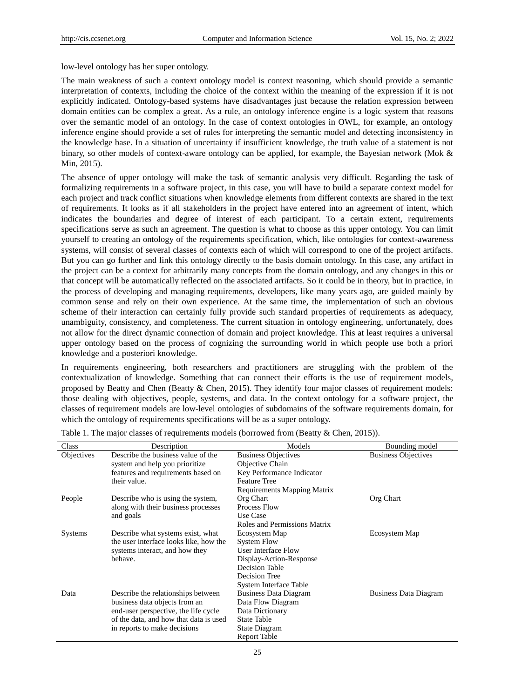low-level ontology has her super ontology.

The main weakness of such a context ontology model is context reasoning, which should provide a semantic interpretation of contexts, including the choice of the context within the meaning of the expression if it is not explicitly indicated. Ontology-based systems have disadvantages just because the relation expression between domain entities can be complex a great. As a rule, an ontology inference engine is a logic system that reasons over the semantic model of an ontology. In the case of context ontologies in OWL, for example, an ontology inference engine should provide a set of rules for interpreting the semantic model and detecting inconsistency in the knowledge base. In a situation of uncertainty if insufficient knowledge, the truth value of a statement is not binary, so other models of context-aware ontology can be applied, for example, the Bayesian network (Mok & Min, 2015).

The absence of upper ontology will make the task of semantic analysis very difficult. Regarding the task of formalizing requirements in a software project, in this case, you will have to build a separate context model for each project and track conflict situations when knowledge elements from different contexts are shared in the text of requirements. It looks as if all stakeholders in the project have entered into an agreement of intent, which indicates the boundaries and degree of interest of each participant. To a certain extent, requirements specifications serve as such an agreement. The question is what to choose as this upper ontology. You can limit yourself to creating an ontology of the requirements specification, which, like ontologies for context-awareness systems, will consist of several classes of contexts each of which will correspond to one of the project artifacts. But you can go further and link this ontology directly to the basis domain ontology. In this case, any artifact in the project can be a context for arbitrarily many concepts from the domain ontology, and any changes in this or that concept will be automatically reflected on the associated artifacts. So it could be in theory, but in practice, in the process of developing and managing requirements, developers, like many years ago, are guided mainly by common sense and rely on their own experience. At the same time, the implementation of such an obvious scheme of their interaction can certainly fully provide such standard properties of requirements as adequacy, unambiguity, consistency, and completeness. The current situation in ontology engineering, unfortunately, does not allow for the direct dynamic connection of domain and project knowledge. This at least requires a universal upper ontology based on the process of cognizing the surrounding world in which people use both a priori knowledge and a posteriori knowledge.

In requirements engineering, both researchers and practitioners are struggling with the problem of the contextualization of knowledge. Something that can connect their efforts is the use of requirement models, proposed by Beatty and Chen (Beatty & Chen, 2015). They identify four major classes of requirement models: those dealing with objectives, people, systems, and data. In the context ontology for a software project, the classes of requirement models are low-level ontologies of subdomains of the software requirements domain, for which the ontology of requirements specifications will be as a super ontology.

| Class          | Description                            | Models                       | Bounding model               |
|----------------|----------------------------------------|------------------------------|------------------------------|
| Objectives     | Describe the business value of the     | <b>Business Objectives</b>   | <b>Business Objectives</b>   |
|                | system and help you prioritize         | Objective Chain              |                              |
|                | features and requirements based on     | Key Performance Indicator    |                              |
|                | their value.                           | <b>Feature Tree</b>          |                              |
|                |                                        | Requirements Mapping Matrix  |                              |
| People         | Describe who is using the system,      | Org Chart                    | Org Chart                    |
|                | along with their business processes    | Process Flow                 |                              |
|                | and goals                              | Use Case                     |                              |
|                |                                        | Roles and Permissions Matrix |                              |
| <b>Systems</b> | Describe what systems exist, what      | Ecosystem Map                | Ecosystem Map                |
|                | the user interface looks like, how the | <b>System Flow</b>           |                              |
|                | systems interact, and how they         | User Interface Flow          |                              |
|                | behave.                                | Display-Action-Response      |                              |
|                |                                        | Decision Table               |                              |
|                |                                        | Decision Tree                |                              |
|                |                                        | System Interface Table       |                              |
| Data           | Describe the relationships between     | <b>Business Data Diagram</b> | <b>Business Data Diagram</b> |
|                | business data objects from an          | Data Flow Diagram            |                              |
|                | end-user perspective, the life cycle   | Data Dictionary              |                              |
|                | of the data, and how that data is used | <b>State Table</b>           |                              |
|                | in reports to make decisions           | State Diagram                |                              |
|                |                                        | <b>Report Table</b>          |                              |

| Table 1. The major classes of requirements models (borrowed from (Beatty $\&$ Chen, 2015)). |  |  |  |  |  |  |  |  |  |  |
|---------------------------------------------------------------------------------------------|--|--|--|--|--|--|--|--|--|--|
|---------------------------------------------------------------------------------------------|--|--|--|--|--|--|--|--|--|--|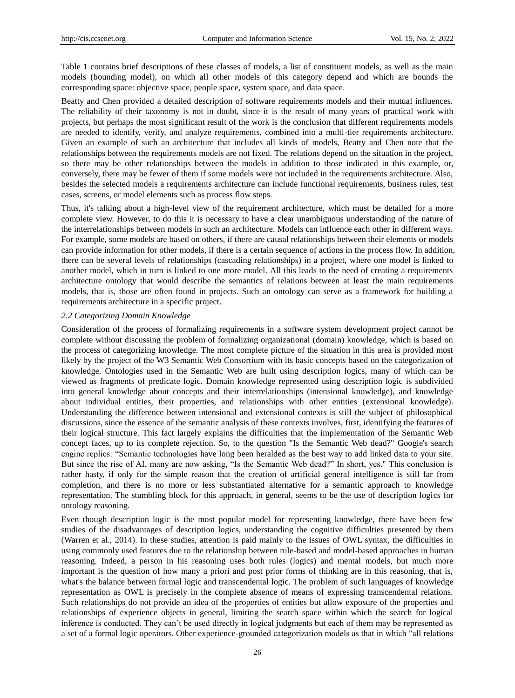Table 1 contains brief descriptions of these classes of models, a list of constituent models, as well as the main models (bounding model), on which all other models of this category depend and which are bounds the corresponding space: objective space, people space, system space, and data space.

Beatty and Chen provided a detailed description of software requirements models and their mutual influences. The reliability of their taxonomy is not in doubt, since it is the result of many years of practical work with projects, but perhaps the most significant result of the work is the conclusion that different requirements models are needed to identify, verify, and analyze requirements, combined into a multi-tier requirements architecture. Given an example of such an architecture that includes all kinds of models, Beatty and Chen note that the relationships between the requirements models are not fixed. The relations depend on the situation in the project, so there may be other relationships between the models in addition to those indicated in this example, or, conversely, there may be fewer of them if some models were not included in the requirements architecture. Also, besides the selected models a requirements architecture can include functional requirements, business rules, test cases, screens, or model elements such as process flow steps.

Thus, it's talking about a high-level view of the requirement architecture, which must be detailed for a more complete view. However, to do this it is necessary to have a clear unambiguous understanding of the nature of the interrelationships between models in such an architecture. Models can influence each other in different ways. For example, some models are based on others, if there are causal relationships between their elements or models can provide information for other models, if there is a certain sequence of actions in the process flow. In addition, there can be several levels of relationships (cascading relationships) in a project, where one model is linked to another model, which in turn is linked to one more model. All this leads to the need of creating a requirements architecture ontology that would describe the semantics of relations between at least the main requirements models, that is, those are often found in projects. Such an ontology can serve as a framework for building a requirements architecture in a specific project.

#### *2.2 Categorizing Domain Knowledge*

Consideration of the process of formalizing requirements in a software system development project cannot be complete without discussing the problem of formalizing organizational (domain) knowledge, which is based on the process of categorizing knowledge. The most complete picture of the situation in this area is provided most likely by the project of the W3 Semantic Web Consortium with its basic concepts based on the categorization of knowledge. Ontologies used in the Semantic Web are built using description logics, many of which can be viewed as fragments of predicate logic. Domain knowledge represented using description logic is subdivided into general knowledge about concepts and their interrelationships (intensional knowledge), and knowledge about individual entities, their properties, and relationships with other entities (extensional knowledge). Understanding the difference between intensional and extensional contexts is still the subject of philosophical discussions, since the essence of the semantic analysis of these contexts involves, first, identifying the features of their logical structure. This fact largely explains the difficulties that the implementation of the Semantic Web concept faces, up to its complete rejection. So, to the question "Is the Semantic Web dead?" Google's search engine replies: "Semantic technologies have long been heralded as the best way to add linked data to your site. But since the rise of AI, many are now asking, "Is the Semantic Web dead?" In short, yes." This conclusion is rather hasty, if only for the simple reason that the creation of artificial general intelligence is still far from completion, and there is no more or less substantiated alternative for a semantic approach to knowledge representation. The stumbling block for this approach, in general, seems to be the use of description logics for ontology reasoning.

Even though description logic is the most popular model for representing knowledge, there have been few studies of the disadvantages of description logics, understanding the cognitive difficulties presented by them (Warren et al., 2014). In these studies, attention is paid mainly to the issues of OWL syntax, the difficulties in using commonly used features due to the relationship between rule-based and model-based approaches in human reasoning. Indeed, a person in his reasoning uses both rules (logics) and mental models, but much more important is the question of how many a priori and post prior forms of thinking are in this reasoning, that is, what's the balance between formal logic and transcendental logic. The problem of such languages of knowledge representation as OWL is precisely in the complete absence of means of expressing transcendental relations. Such relationships do not provide an idea of the properties of entities but allow exposure of the properties and relationships of experience objects in general, limiting the search space within which the search for logical inference is conducted. They can't be used directly in logical judgments but each of them may be represented as a set of a formal logic operators. Other experience-grounded categorization models as that in which "all relations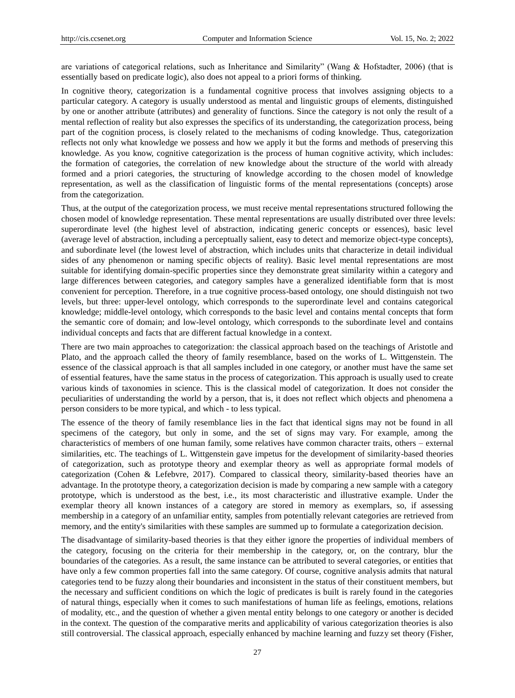are variations of categorical relations, such as Inheritance and Similarity" (Wang & Hofstadter, 2006) (that is essentially based on predicate logic), also does not appeal to a priori forms of thinking.

In cognitive theory, categorization is a fundamental cognitive process that involves assigning objects to a particular category. A category is usually understood as mental and linguistic groups of elements, distinguished by one or another attribute (attributes) and generality of functions. Since the category is not only the result of a mental reflection of reality but also expresses the specifics of its understanding, the categorization process, being part of the cognition process, is closely related to the mechanisms of coding knowledge. Thus, categorization reflects not only what knowledge we possess and how we apply it but the forms and methods of preserving this knowledge. As you know, cognitive categorization is the process of human cognitive activity, which includes: the formation of categories, the correlation of new knowledge about the structure of the world with already formed and a priori categories, the structuring of knowledge according to the chosen model of knowledge representation, as well as the classification of linguistic forms of the mental representations (concepts) arose from the categorization.

Thus, at the output of the categorization process, we must receive mental representations structured following the chosen model of knowledge representation. These mental representations are usually distributed over three levels: superordinate level (the highest level of abstraction, indicating generic concepts or essences), basic level (average level of abstraction, including a perceptually salient, easy to detect and memorize object-type concepts), and subordinate level (the lowest level of abstraction, which includes units that characterize in detail individual sides of any phenomenon or naming specific objects of reality). Basic level mental representations are most suitable for identifying domain-specific properties since they demonstrate great similarity within a category and large differences between categories, and category samples have a generalized identifiable form that is most convenient for perception. Therefore, in a true cognitive process-based ontology, one should distinguish not two levels, but three: upper-level ontology, which corresponds to the superordinate level and contains categorical knowledge; middle-level ontology, which corresponds to the basic level and contains mental concepts that form the semantic core of domain; and low-level ontology, which corresponds to the subordinate level and contains individual concepts and facts that are different factual knowledge in a context.

There are two main approaches to categorization: the classical approach based on the teachings of Aristotle and Plato, and the approach called the theory of family resemblance, based on the works of L. Wittgenstein. The essence of the classical approach is that all samples included in one category, or another must have the same set of essential features, have the same status in the process of categorization. This approach is usually used to create various kinds of taxonomies in science. This is the classical model of categorization. It does not consider the peculiarities of understanding the world by a person, that is, it does not reflect which objects and phenomena a person considers to be more typical, and which - to less typical.

The essence of the theory of family resemblance lies in the fact that identical signs may not be found in all specimens of the category, but only in some, and the set of signs may vary. For example, among the characteristics of members of one human family, some relatives have common character traits, others – external similarities, etc. The teachings of L. Wittgenstein gave impetus for the development of similarity-based theories of categorization, such as prototype theory and exemplar theory as well as appropriate formal models of categorization (Cohen & Lefebvre, 2017). Compared to classical theory, similarity-based theories have an advantage. In the prototype theory, a categorization decision is made by comparing a new sample with a category prototype, which is understood as the best, i.e., its most characteristic and illustrative example. Under the exemplar theory all known instances of a category are stored in memory as exemplars, so, if assessing membership in a category of an unfamiliar entity, samples from potentially relevant categories are retrieved from memory, and the entity's similarities with these samples are summed up to formulate a categorization decision.

The disadvantage of similarity-based theories is that they either ignore the properties of individual members of the category, focusing on the criteria for their membership in the category, or, on the contrary, blur the boundaries of the categories. As a result, the same instance can be attributed to several categories, or entities that have only a few common properties fall into the same category. Of course, cognitive analysis admits that natural categories tend to be fuzzy along their boundaries and inconsistent in the status of their constituent members, but the necessary and sufficient conditions on which the logic of predicates is built is rarely found in the categories of natural things, especially when it comes to such manifestations of human life as feelings, emotions, relations of modality, etc., and the question of whether a given mental entity belongs to one category or another is decided in the context. The question of the comparative merits and applicability of various categorization theories is also still controversial. The classical approach, especially enhanced by machine learning and fuzzy set theory (Fisher,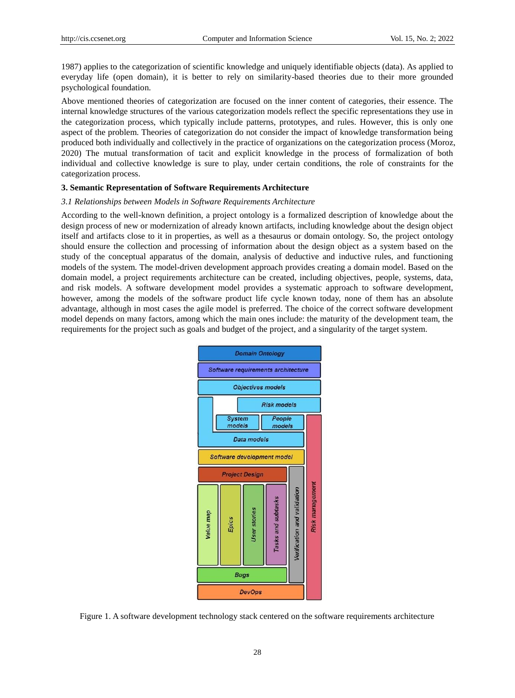1987) applies to the categorization of scientific knowledge and uniquely identifiable objects (data). As applied to everyday life (open domain), it is better to rely on similarity-based theories due to their more grounded psychological foundation.

Above mentioned theories of categorization are focused on the inner content of categories, their essence. The internal knowledge structures of the various categorization models reflect the specific representations they use in the categorization process, which typically include patterns, prototypes, and rules. However, this is only one aspect of the problem. Theories of categorization do not consider the impact of knowledge transformation being produced both individually and collectively in the practice of organizations on the categorization process (Moroz, 2020) The mutual transformation of tacit and explicit knowledge in the process of formalization of both individual and collective knowledge is sure to play, under certain conditions, the role of constraints for the categorization process.

# **3. Semantic Representation of Software Requirements Architecture**

#### *3.1 Relationships between Models in Software Requirements Architecture*

According to the well-known definition, a project ontology is a formalized description of knowledge about the design process of new or modernization of already known artifacts, including knowledge about the design object itself and artifacts close to it in properties, as well as a thesaurus or domain ontology. So, the project ontology should ensure the collection and processing of information about the design object as a system based on the study of the conceptual apparatus of the domain, analysis of deductive and inductive rules, and functioning models of the system. The model-driven development approach provides creating a domain model. Based on the domain model, a project requirements architecture can be created, including objectives, people, systems, data, and risk models. A software development model provides a systematic approach to software development, however, among the models of the software product life cycle known today, none of them has an absolute advantage, although in most cases the agile model is preferred. The choice of the correct software development model depends on many factors, among which the main ones include: the maturity of the development team, the requirements for the project such as goals and budget of the project, and a singularity of the target system.



Figure 1. A software development technology stack centered on the software requirements architecture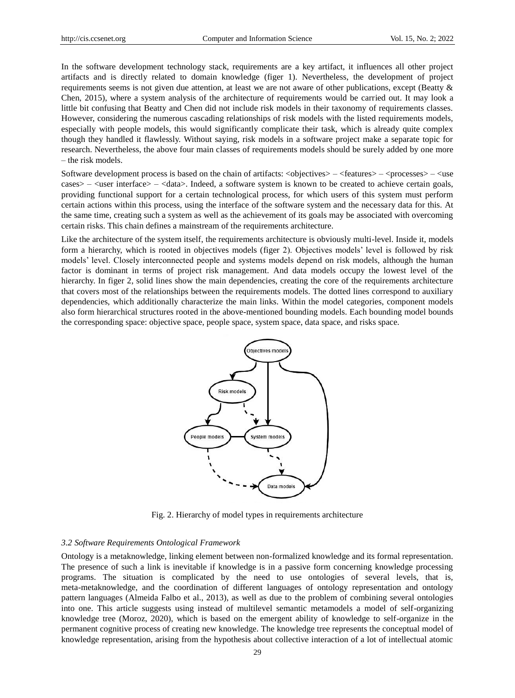In the software development technology stack, requirements are a key artifact, it influences all other project artifacts and is directly related to domain knowledge (figer 1). Nevertheless, the development of project requirements seems is not given due attention, at least we are not aware of other publications, except (Beatty & Chen, 2015), where a system analysis of the architecture of requirements would be carried out. It may look a little bit confusing that Beatty and Chen did not include risk models in their taxonomy of requirements classes. However, considering the numerous cascading relationships of risk models with the listed requirements models, especially with people models, this would significantly complicate their task, which is already quite complex though they handled it flawlessly. Without saying, risk models in a software project make a separate topic for research. Nevertheless, the above four main classes of requirements models should be surely added by one more – the risk models.

Software development process is based on the chain of artifacts:  $\langle$ objectives $\rangle$  – $\langle$ features $\rangle$  – $\langle$ processes $\rangle$  – $\langle$ use cases> – <user interface> – <data>. Indeed, a software system is known to be created to achieve certain goals, providing functional support for a certain technological process, for which users of this system must perform certain actions within this process, using the interface of the software system and the necessary data for this. At the same time, creating such a system as well as the achievement of its goals may be associated with overcoming certain risks. This chain defines a mainstream of the requirements architecture.

Like the architecture of the system itself, the requirements architecture is obviously multi-level. Inside it, models form a hierarchy, which is rooted in objectives models (figer 2). Objectives models' level is followed by risk models' level. Closely interconnected people and systems models depend on risk models, although the human factor is dominant in terms of project risk management. And data models occupy the lowest level of the hierarchy. In figer 2, solid lines show the main dependencies, creating the core of the requirements architecture that covers most of the relationships between the requirements models. The dotted lines correspond to auxiliary dependencies, which additionally characterize the main links. Within the model categories, component models also form hierarchical structures rooted in the above-mentioned bounding models. Each bounding model bounds the corresponding space: objective space, people space, system space, data space, and risks space.



Fig. 2. Hierarchy of model types in requirements architecture

# *3.2 Software Requirements Ontological Framework*

Ontology is a metaknowledge, linking element between non-formalized knowledge and its formal representation. The presence of such a link is inevitable if knowledge is in a passive form concerning knowledge processing programs. The situation is complicated by the need to use ontologies of several levels, that is, meta-metaknowledge, and the coordination of different languages of ontology representation and ontology pattern languages (Almeida Falbo et al., 2013), as well as due to the problem of combining several ontologies into one. This article suggests using instead of multilevel semantic metamodels a model of self-organizing knowledge tree (Moroz, 2020), which is based on the emergent ability of knowledge to self-organize in the permanent cognitive process of creating new knowledge. The knowledge tree represents the conceptual model of knowledge representation, arising from the hypothesis about collective interaction of a lot of intellectual atomic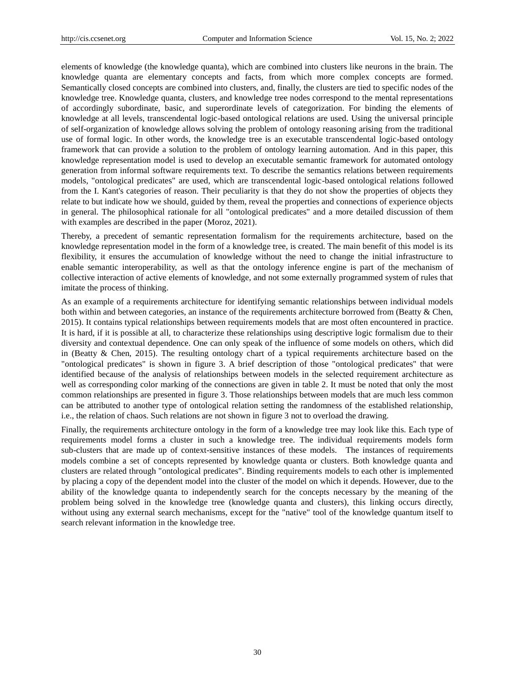elements of knowledge (the knowledge quanta), which are combined into clusters like neurons in the brain. The knowledge quanta are elementary concepts and facts, from which more complex concepts are formed. Semantically closed concepts are combined into clusters, and, finally, the clusters are tied to specific nodes of the knowledge tree. Knowledge quanta, clusters, and knowledge tree nodes correspond to the mental representations of accordingly subordinate, basic, and superordinate levels of categorization. For binding the elements of knowledge at all levels, transcendental logic-based ontological relations are used. Using the universal principle of self-organization of knowledge allows solving the problem of ontology reasoning arising from the traditional use of formal logic. In other words, the knowledge tree is an executable transcendental logic-based ontology framework that can provide a solution to the problem of ontology learning automation. And in this paper, this knowledge representation model is used to develop an executable semantic framework for automated ontology generation from informal software requirements text. To describe the semantics relations between requirements models, "ontological predicates" are used, which are transcendental logic-based ontological relations followed from the I. Kant's categories of reason. Their peculiarity is that they do not show the properties of objects they relate to but indicate how we should, guided by them, reveal the properties and connections of experience objects in general. The philosophical rationale for all "ontological predicates" and a more detailed discussion of them with examples are described in the paper (Moroz, 2021).

Thereby, a precedent of semantic representation formalism for the requirements architecture, based on the knowledge representation model in the form of a knowledge tree, is created. The main benefit of this model is its flexibility, it ensures the accumulation of knowledge without the need to change the initial infrastructure to enable semantic interoperability, as well as that the ontology inference engine is part of the mechanism of collective interaction of active elements of knowledge, and not some externally programmed system of rules that imitate the process of thinking.

As an example of a requirements architecture for identifying semantic relationships between individual models both within and between categories, an instance of the requirements architecture borrowed from (Beatty & Chen, 2015). It contains typical relationships between requirements models that are most often encountered in practice. It is hard, if it is possible at all, to characterize these relationships using descriptive logic formalism due to their diversity and contextual dependence. One can only speak of the influence of some models on others, which did in (Beatty & Chen, 2015). The resulting ontology chart of a typical requirements architecture based on the "ontological predicates" is shown in figure 3. A brief description of those "ontological predicates" that were identified because of the analysis of relationships between models in the selected requirement architecture as well as corresponding color marking of the connections are given in table 2. It must be noted that only the most common relationships are presented in figure 3. Those relationships between models that are much less common can be attributed to another type of ontological relation setting the randomness of the established relationship, i.e., the relation of chaos. Such relations are not shown in figure 3 not to overload the drawing.

Finally, the requirements architecture ontology in the form of a knowledge tree may look like this. Each type of requirements model forms a cluster in such a knowledge tree. The individual requirements models form sub-clusters that are made up of context-sensitive instances of these models. The instances of requirements models combine a set of concepts represented by knowledge quanta or clusters. Both knowledge quanta and clusters are related through "ontological predicates". Binding requirements models to each other is implemented by placing a copy of the dependent model into the cluster of the model on which it depends. However, due to the ability of the knowledge quanta to independently search for the concepts necessary by the meaning of the problem being solved in the knowledge tree (knowledge quanta and clusters), this linking occurs directly, without using any external search mechanisms, except for the "native" tool of the knowledge quantum itself to search relevant information in the knowledge tree.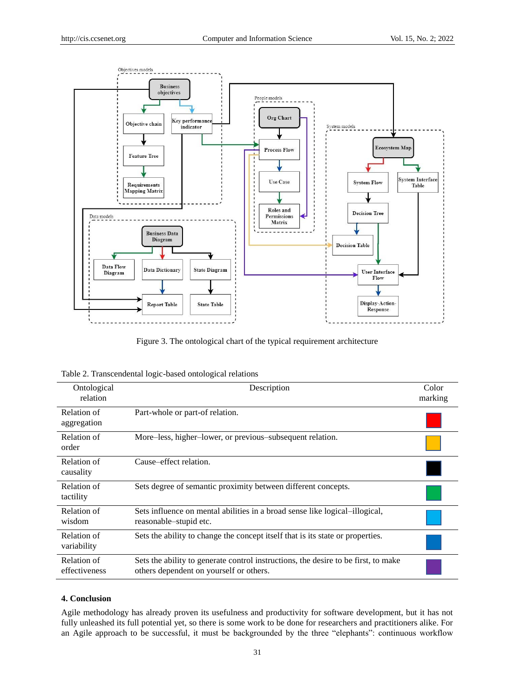

Figure 3. The ontological chart of the typical requirement architecture

| Table 2. Transcendental logic-based ontological relations |  |  |
|-----------------------------------------------------------|--|--|
|                                                           |  |  |

| Ontological<br>relation      | Description                                                                                                                   | Color<br>marking |
|------------------------------|-------------------------------------------------------------------------------------------------------------------------------|------------------|
| Relation of<br>aggregation   | Part-whole or part-of relation.                                                                                               |                  |
| Relation of<br>order         | More-less, higher-lower, or previous-subsequent relation.                                                                     |                  |
| Relation of<br>causality     | Cause–effect relation.                                                                                                        |                  |
| Relation of<br>tactility     | Sets degree of semantic proximity between different concepts.                                                                 |                  |
| Relation of<br>wisdom        | Sets influence on mental abilities in a broad sense like logical-illogical.<br>reasonable-stupid etc.                         |                  |
| Relation of<br>variability   | Sets the ability to change the concept itself that is its state or properties.                                                |                  |
| Relation of<br>effectiveness | Sets the ability to generate control instructions, the desire to be first, to make<br>others dependent on yourself or others. |                  |

# **4. Conclusion**

Agile methodology has already proven its usefulness and productivity for software development, but it has not fully unleashed its full potential yet, so there is some work to be done for researchers and practitioners alike. For an Agile approach to be successful, it must be backgrounded by the three "elephants": continuous workflow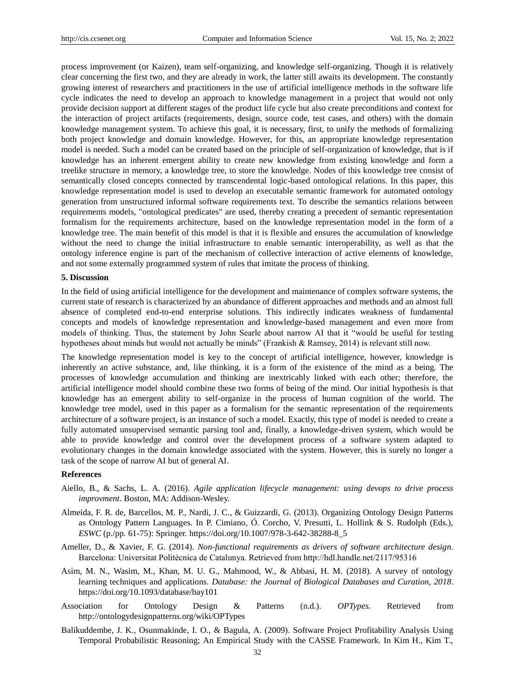process improvement (or Kaizen), team self-organizing, and knowledge self-organizing. Though it is relatively clear concerning the first two, and they are already in work, the latter still awaits its development. The constantly growing interest of researchers and practitioners in the use of artificial intelligence methods in the software life cycle indicates the need to develop an approach to knowledge management in a project that would not only provide decision support at different stages of the product life cycle but also create preconditions and context for the interaction of project artifacts (requirements, design, source code, test cases, and others) with the domain knowledge management system. To achieve this goal, it is necessary, first, to unify the methods of formalizing both project knowledge and domain knowledge. However, for this, an appropriate knowledge representation model is needed. Such a model can be created based on the principle of self-organization of knowledge, that is if knowledge has an inherent emergent ability to create new knowledge from existing knowledge and form a treelike structure in memory, a knowledge tree, to store the knowledge. Nodes of this knowledge tree consist of semantically closed concepts connected by transcendental logic-based ontological relations. In this paper, this knowledge representation model is used to develop an executable semantic framework for automated ontology generation from unstructured informal software requirements text. To describe the semantics relations between requirements models, "ontological predicates" are used, thereby creating a precedent of semantic representation formalism for the requirements architecture, based on the knowledge representation model in the form of a knowledge tree. The main benefit of this model is that it is flexible and ensures the accumulation of knowledge without the need to change the initial infrastructure to enable semantic interoperability, as well as that the ontology inference engine is part of the mechanism of collective interaction of active elements of knowledge, and not some externally programmed system of rules that imitate the process of thinking.

### **5. Discussion**

In the field of using artificial intelligence for the development and maintenance of complex software systems, the current state of research is characterized by an abundance of different approaches and methods and an almost full absence of completed end-to-end enterprise solutions. This indirectly indicates weakness of fundamental concepts and models of knowledge representation and knowledge-based management and even more from models of thinking. Thus, the statement by John Searle about narrow AI that it "would be useful for testing hypotheses about minds but would not actually be minds" (Frankish & Ramsey, 2014) is relevant still now.

The knowledge representation model is key to the concept of artificial intelligence, however, knowledge is inherently an active substance, and, like thinking, it is a form of the existence of the mind as a being. The processes of knowledge accumulation and thinking are inextricably linked with each other; therefore, the artificial intelligence model should combine these two forms of being of the mind. Our initial hypothesis is that knowledge has an emergent ability to self-organize in the process of human cognition of the world. The knowledge tree model, used in this paper as a formalism for the semantic representation of the requirements architecture of a software project, is an instance of such a model. Exactly, this type of model is needed to create a fully automated unsupervised semantic parsing tool and, finally, a knowledge-driven system, which would be able to provide knowledge and control over the development process of a software system adapted to evolutionary changes in the domain knowledge associated with the system. However, this is surely no longer a task of the scope of narrow AI but of general AI.

## **References**

- Aiello, B., & Sachs, L. A. (2016). *Agile application lifecycle management: using devops to drive process improvment*. Boston, MA: Addison-Wesley.
- Almeida, F. R. de, Barcellos, M. P., Nardi, J. C., & Guizzardi, G. (2013). Organizing Ontology Design Patterns as Ontology Pattern Languages. In P. Cimiano, Ó. Corcho, V. Presutti, L. Hollink & S. Rudolph (Eds.), *ESWC* (p./pp. 61-75): Springer. https://doi.org/10.1007/978-3-642-38288-8\_5
- Ameller, D., & Xavier, F. G. (2014). *Non-functional requirements as drivers of software architecture design*. Barcelona: Universitat Politècnica de Catalunya. Retrieved from http://hdl.handle.net/2117/95316
- Asim, M. N., Wasim, M., Khan, M. U. G., Mahmood, W., & Abbasi, H. M. (2018). A survey of ontology learning techniques and applications. *Database: the Journal of Biological Databases and Curation, 2018*. https://doi.org/10.1093/database/bay101
- Association for Ontology Design & Patterns (n.d.). *OPTypes.* Retrieved from http://ontologydesignpatterns.org/wiki/OPTypes
- Balikuddembe, J. K., Osunmakinde, I. O., & Bagula, A. (2009). Software Project Profitability Analysis Using Temporal Probabilistic Reasoning; An Empirical Study with the CASSE Framework. In Kim H., Kim T.,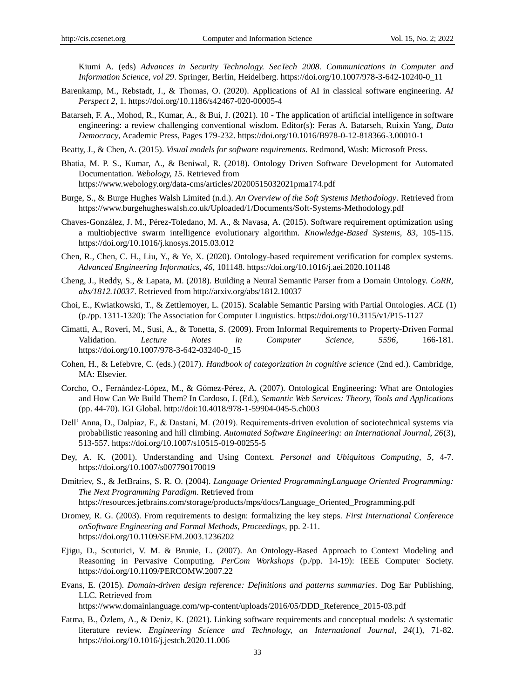Kiumi A. (eds) *Advances in Security Technology. SecTech 2008. Communications in Computer and Information Science, vol 29*. Springer, Berlin, Heidelberg. https://doi.org/10.1007/978-3-642-10240-0\_11

- Barenkamp, M., Rebstadt, J., & Thomas, O. (2020). Applications of AI in classical software engineering. *AI Perspect 2*, 1. https://doi.org/10.1186/s42467-020-00005-4
- Batarseh, F. A., Mohod, R., Kumar, A., & Bui, J. (2021). 10 The application of artificial intelligence in software engineering: a review challenging conventional wisdom. Editor(s): Feras A. Batarseh, Ruixin Yang, *Data Democracy*, Academic Press, Pages 179-232. https://doi.org/10.1016/B978-0-12-818366-3.00010-1

Beatty, J., & Chen, A. (2015). *Visual models for software requirements*. Redmond, Wash: Microsoft Press.

- Bhatia, M. P. S., Kumar, A., & Beniwal, R. (2018). Ontology Driven Software Development for Automated Documentation. *Webology, 15*. Retrieved from https://www.webology.org/data-cms/articles/20200515032021pma174.pdf
- Burge, S., & Burge Hughes Walsh Limited (n.d.). *An Overview of the Soft Systems Methodology*. Retrieved from https://www.burgehugheswalsh.co.uk/Uploaded/1/Documents/Soft-Systems-Methodology.pdf
- Chaves-González, J. M., Pérez-Toledano, M. A., & Navasa, A. (2015). Software requirement optimization using a multiobjective swarm intelligence evolutionary algorithm. *Knowledge-Based Systems, 83*, 105-115. https://doi.org/10.1016/j.knosys.2015.03.012
- Chen, R., Chen, C. H., Liu, Y., & Ye, X. (2020). Ontology-based requirement verification for complex systems. *Advanced Engineering Informatics, 46*, 101148. https://doi.org/10.1016/j.aei.2020.101148
- Cheng, J., Reddy, S., & Lapata, M. (2018). Building a Neural Semantic Parser from a Domain Ontology. *CoRR, abs/1812.10037*. Retrieved from http://arxiv.org/abs/1812.10037
- Choi, E., Kwiatkowski, T., & Zettlemoyer, L. (2015). Scalable Semantic Parsing with Partial Ontologies. *ACL* (1) (p./pp. 1311-1320): The Association for Computer Linguistics. https://doi.org/10.3115/v1/P15-1127
- Cimatti, A., Roveri, M., Susi, A., & Tonetta, S. (2009). From Informal Requirements to Property-Driven Formal Validation. *Lecture Notes in Computer Science, 5596*, 166-181. https://doi.org/10.1007/978-3-642-03240-0\_15
- Cohen, H., & Lefebvre, C. (eds.) (2017). *Handbook of categorization in cognitive science* (2nd ed.). Cambridge, MA: Elsevier.
- Corcho, O., Fernández-López, M., & Gómez-Pérez, A. (2007). Ontological Engineering: What are Ontologies and How Can We Build Them? In Cardoso, J. (Ed.), *Semantic Web Services: Theory, Tools and Applications* (pp. 44-70). IGI Global. http://doi:10.4018/978-1-59904-045-5.ch003
- Dell' Anna, D., Dalpiaz, F., & Dastani, M. (2019). Requirements-driven evolution of sociotechnical systems via probabilistic reasoning and hill climbing. *Automated Software Engineering: an International Journal, 26*(3), 513-557. https://doi.org/10.1007/s10515-019-00255-5
- Dey, A. K. (2001). Understanding and Using Context. *Personal and Ubiquitous Computing, 5*, 4-7. https://doi.org/10.1007/s007790170019
- Dmitriev, S., & JetBrains, S. R. O. (2004). *Language Oriented ProgrammingLanguage Oriented Programming: The Next Programming Paradigm*. Retrieved from https://resources.jetbrains.com/storage/products/mps/docs/Language\_Oriented\_Programming.pdf
- Dromey, R. G. (2003). From requirements to design: formalizing the key steps. *First International Conference onSoftware Engineering and Formal Methods, Proceedings*, pp. 2-11. https://doi.org/10.1109/SEFM.2003.1236202
- Ejigu, D., Scuturici, V. M. & Brunie, L. (2007). An Ontology-Based Approach to Context Modeling and Reasoning in Pervasive Computing. *PerCom Workshops* (p./pp. 14-19): IEEE Computer Society. https://doi.org/10.1109/PERCOMW.2007.22
- Evans, E. (2015). *Domain-driven design reference: Definitions and patterns summaries*. Dog Ear Publishing, LLC. Retrieved from

https://www.domainlanguage.com/wp-content/uploads/2016/05/DDD\_Reference\_2015-03.pdf

Fatma, B., Özlem, A., & Deniz, K. (2021). Linking software requirements and conceptual models: A systematic literature review. *Engineering Science and Technology, an International Journal, 24*(1), 71-82. https://doi.org/10.1016/j.jestch.2020.11.006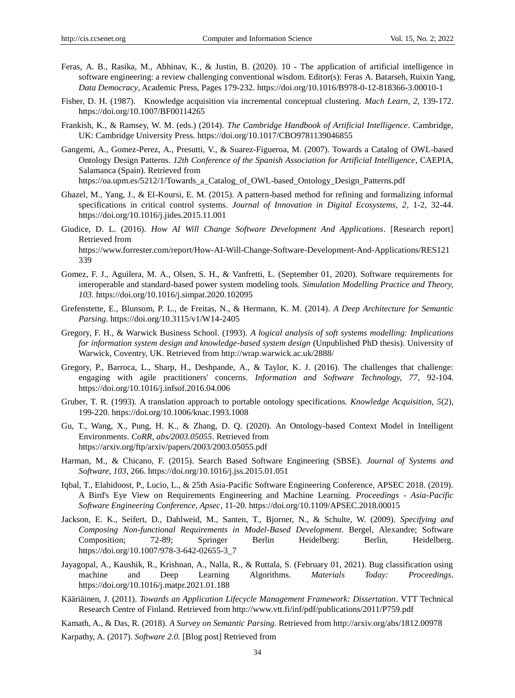- Feras, A. B., Rasika, M., Abhinav, K., & Justin, B. (2020). 10 The application of artificial intelligence in software engineering: a review challenging conventional wisdom. Editor(s): Feras A. Batarseh, Ruixin Yang, *Data Democracy*, Academic Press, Pages 179-232. https://doi.org/10.1016/B978-0-12-818366-3.00010-1
- Fisher, D. H. (1987). Knowledge acquisition via incremental conceptual clustering. *Mach Learn, 2*, 139-172. https://doi.org/10.1007/BF00114265
- Frankish, K., & Ramsey, W. M. (eds.) (2014). *The Cambridge Handbook of Artificial Intelligence*. Cambridge, UK: Cambridge University Press. https://doi.org/10.1017/CBO9781139046855
- Gangemi, A., Gomez-Perez, A., Presutti, V., & Suarez-Figueroa, M. (2007). Towards a Catalog of OWL-based Ontology Design Patterns. *12th Conference of the Spanish Association for Artificial Intelligence*, CAEPIA, Salamanca (Spain). Retrieved from

https://oa.upm.es/5212/1/Towards\_a\_Catalog\_of\_OWL-based\_Ontology\_Design\_Patterns.pdf

- Ghazel, M., Yang, J., & El-Koursi, E. M. (2015). A pattern-based method for refining and formalizing informal specifications in critical control systems. *Journal of Innovation in Digital Ecosystems, 2*, 1-2, 32-44. https://doi.org/10.1016/j.jides.2015.11.001
- Giudice, D. L. (2016). *How AI Will Change Software Development And Applications*. [Research report] Retrieved from https://www.forrester.com/report/How-AI-Will-Change-Software-Development-And-Applications/RES121 339
- Gomez, F. J., Aguilera, M. A., Olsen, S. H., & Vanfretti, L. (September 01, 2020). Software requirements for interoperable and standard-based power system modeling tools. *Simulation Modelling Practice and Theory, 103*. https://doi.org/10.1016/j.simpat.2020.102095
- Grefenstette, E., Blunsom, P. L., de Freitas, N., & Hermann, K. M. (2014). *A Deep Architecture for Semantic Parsing*. https://doi.org/10.3115/v1/W14-2405
- Gregory, F. H., & Warwick Business School. (1993). *A logical analysis of soft systems modelling: Implications for information system design and knowledge-based system design* (Unpublished PhD thesis). University of Warwick, Coventry, UK. Retrieved from http://wrap.warwick.ac.uk/2888/
- Gregory, P., Barroca, L., Sharp, H., Deshpande, A., & Taylor, K. J. (2016). The challenges that challenge: engaging with agile practitioners' concerns*. Information and Software Technology, 77,* 92-104. https://doi.org/10.1016/j.infsof.2016.04.006
- Gruber, T. R. (1993). A translation approach to portable ontology specifications. *Knowledge Acquisition, 5*(2), 199-220. https://doi.org/10.1006/knac.1993.1008
- Gu, T., Wang, X., Pung, H. K., & Zhang, D. Q. (2020). An Ontology-based Context Model in Intelligent Environments. *CoRR, abs/2003.05055*. Retrieved from https://arxiv.org/ftp/arxiv/papers/2003/2003.05055.pdf
- Harman, M., & Chicano, F. (2015). Search Based Software Engineering (SBSE). *Journal of Systems and Software, 103*, 266. https://doi.org/10.1016/j.jss.2015.01.051
- Iqbal, T., Elahidoost, P., Lucio, L., & 25th Asia-Pacific Software Engineering Conference, APSEC 2018. (2019). A Bird's Eye View on Requirements Engineering and Machine Learning. *Proceedings - Asia-Pacific Software Engineering Conference, Apsec*, 11-20. https://doi.org/10.1109/APSEC.2018.00015
- Jackson, E. K., Seifert, D., Dahlweid, M., Santen, T., Bjorner, N., & Schulte, W. (2009). *Specifying and Composing Non-functional Requirements in Model-Based Development*. Bergel, Alexandre; Software Composition; 72-89; Springer Berlin Heidelberg: Berlin, Heidelberg. https://doi.org/10.1007/978-3-642-02655-3\_7
- Jayagopal, A., Kaushik, R., Krishnan, A., Nalla, R., & Ruttala, S. (February 01, 2021). Bug classification using machine and Deep Learning Algorithms. *Materials Today: Proceedings*. https://doi.org/10.1016/j.matpr.2021.01.188
- Kääriäinen, J. (2011). *Towards an Application Lifecycle Management Framework: Dissertation*. VTT Technical Research Centre of Finland. Retrieved from http://www.vtt.fi/inf/pdf/publications/2011/P759.pdf
- Kamath, A., & Das, R. (2018). *A Survey on Semantic Parsing*. Retrieved from http://arxiv.org/abs/1812.00978 Karpathy, A. (2017). *Software 2.0.* [Blog post] Retrieved from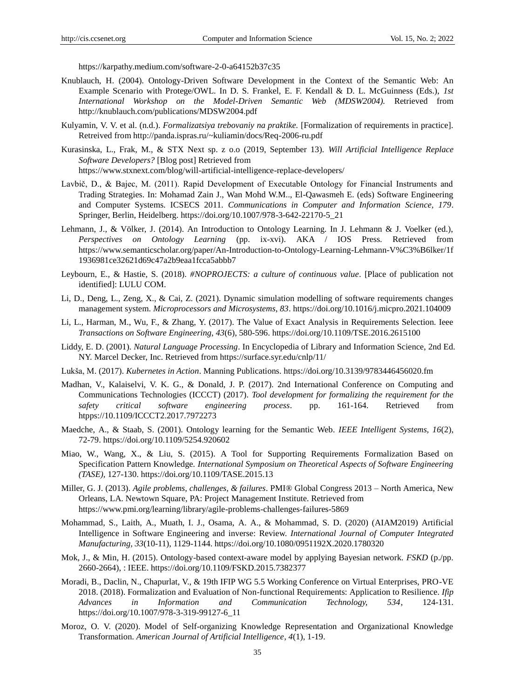https://karpathy.medium.com/software-2-0-a64152b37c35

- Knublauch, H. (2004). Ontology-Driven Software Development in the Context of the Semantic Web: An Example Scenario with Protege/OWL. In D. S. Frankel, E. F. Kendall & D. L. McGuinness (Eds.), *1st International Workshop on the Model-Driven Semantic Web (MDSW2004).* Retrieved from http://knublauch.com/publications/MDSW2004.pdf
- Kulyamin, V. V. et al. (n.d.). *Formalizatsiya trebovaniy na praktike.* [Formalization of requirements in practice]. Retreived from http://panda.ispras.ru/~kuliamin/docs/Req-2006-ru.pdf
- Kurasinska, L., Frak, M., & STX Next sp. z o.o (2019, September 13). *Will Artificial Intelligence Replace Software Developers?* [Blog post] Retrieved from https://www.stxnext.com/blog/will-artificial-intelligence-replace-developers/
- Lavbič, D., & Bajec, M. (2011). Rapid Development of Executable Ontology for Financial Instruments and Trading Strategies. In: Mohamad Zain J., Wan Mohd W.M.., El-Qawasmeh E. (eds) Software Engineering and Computer Systems. ICSECS 2011. *Communications in Computer and Information Science, 179*. Springer, Berlin, Heidelberg. https://doi.org/10.1007/978-3-642-22170-5\_21
- Lehmann, J., & Völker, J. (2014). An Introduction to Ontology Learning. In J. Lehmann & J. Voelker (ed.), *Perspectives on Ontology Learning* (pp. ix-xvi). AKA / IOS Press. Retrieved from https://www.semanticscholar.org/paper/An-Introduction-to-Ontology-Learning-Lehmann-V%C3%B6lker/1f 1936981ce32621d69c47a2b9eaa1fcca5abbb7
- Leybourn, E., & Hastie, S. (2018). *#NOPROJECTS: a culture of continuous value*. [Place of publication not identified]: LULU COM.
- Li, D., Deng, L., Zeng, X., & Cai, Z. (2021). Dynamic simulation modelling of software requirements changes management system. *Microprocessors and Microsystems, 83*. https://doi.org/10.1016/j.micpro.2021.104009
- Li, L., Harman, M., Wu, F., & Zhang, Y. (2017). The Value of Exact Analysis in Requirements Selection. Ieee *Transactions on Software Engineering, 43*(6), 580-596. https://doi.org/10.1109/TSE.2016.2615100
- Liddy, E. D. (2001). *Natural Language Processing*. In Encyclopedia of Library and Information Science, 2nd Ed. NY. Marcel Decker, Inc. Retrieved from https://surface.syr.edu/cnlp/11/
- Lukša, M. (2017). *Kubernetes in Action*. Manning Publications. https://doi.org/10.3139/9783446456020.fm
- Madhan, V., Kalaiselvi, V. K. G., & Donald, J. P. (2017). 2nd International Conference on Computing and Communications Technologies (ICCCT) (2017). *Tool development for formalizing the requirement for the safety critical software engineering process*. pp. 161-164. Retrieved from htpps://10.1109/ICCCT2.2017.7972273
- Maedche, A., & Staab, S. (2001). Ontology learning for the Semantic Web. *IEEE Intelligent Systems, 16*(2), 72-79. https://doi.org/10.1109/5254.920602
- Miao, W., Wang, X., & Liu, S. (2015). A Tool for Supporting Requirements Formalization Based on Specification Pattern Knowledge*. International Symposium on Theoretical Aspects of Software Engineering (TASE),* 127-130. https://doi.org/10.1109/TASE.2015.13
- Miller, G. J. (2013). *Agile problems, challenges, & failures*. PMI® Global Congress 2013 North America, New Orleans, LA. Newtown Square, PA: Project Management Institute. Retrieved from https://www.pmi.org/learning/library/agile-problems-challenges-failures-5869
- Mohammad, S., Laith, A., Muath, I. J., Osama, A. A., & Mohammad, S. D. (2020) (AIAM2019) Artificial Intelligence in Software Engineering and inverse: Review. *International Journal of Computer Integrated Manufacturing, 33*(10-11), 1129-1144. https://doi.org/10.1080/0951192X.2020.1780320
- Mok, J., & Min, H. (2015). Ontology-based context-aware model by applying Bayesian network. *FSKD* (p./pp. 2660-2664), : IEEE. https://doi.org/10.1109/FSKD.2015.7382377
- Moradi, B., Daclin, N., Chapurlat, V., & 19th IFIP WG 5.5 Working Conference on Virtual Enterprises, PRO-VE 2018. (2018). Formalization and Evaluation of Non-functional Requirements: Application to Resilience. *Ifip Advances in Information and Communication Technology, 534*, 124-131. https://doi.org/10.1007/978-3-319-99127-6\_11
- Moroz, O. V. (2020). Model of Self-organizing Knowledge Representation and Organizational Knowledge Transformation. *American Journal of Artificial Intelligence, 4*(1), 1-19.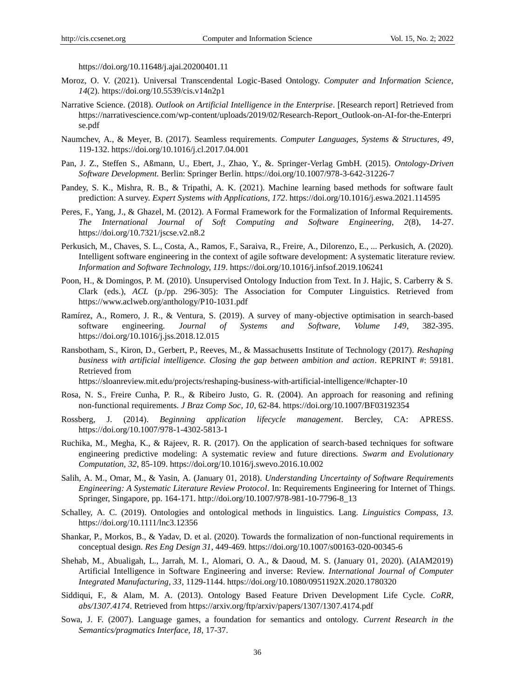https://doi.org/10.11648/j.ajai.20200401.11

- Moroz, O. V. (2021). Universal Transcendental Logic-Based Ontology. *Computer and Information Science, 14*(2). https://doi.org/10.5539/cis.v14n2p1
- Narrative Science. (2018). *Outlook on Artificial Intelligence in the Enterprise*. [Research report] Retrieved from https://narrativescience.com/wp-content/uploads/2019/02/Research-Report\_Outlook-on-AI-for-the-Enterpri se.pdf
- Naumchev, A., & Meyer, B. (2017). Seamless requirements. *Computer Languages, Systems & Structures, 49*, 119-132. https://doi.org/10.1016/j.cl.2017.04.001
- Pan, J. Z., Steffen S., Aßmann, U., Ebert, J., Zhao, Y., &. Springer-Verlag GmbH. (2015). *Ontology-Driven Software Development.* Berlin: Springer Berlin. https://doi.org/10.1007/978-3-642-31226-7
- Pandey, S. K., Mishra, R. B., & Tripathi, A. K. (2021). Machine learning based methods for software fault prediction: A survey. *Expert Systems with Applications, 172*. https://doi.org/10.1016/j.eswa.2021.114595
- Peres, F., Yang, J., & Ghazel, M. (2012). A Formal Framework for the Formalization of Informal Requirements. *The International Journal of Soft Computing and Software Engineering, 2*(8), 14-27. https://doi.org/10.7321/jscse.v2.n8.2
- Perkusich, M., Chaves, S. L., Costa, A., Ramos, F., Saraiva, R., Freire, A., Dilorenzo, E., ... Perkusich, A. (2020). Intelligent software engineering in the context of agile software development: A systematic literature review. *Information and Software Technology, 119*. https://doi.org/10.1016/j.infsof.2019.106241
- Poon, H., & Domingos, P. M. (2010). Unsupervised Ontology Induction from Text. In J. Hajic, S. Carberry & S. Clark (eds.), *ACL* (p./pp. 296-305): The Association for Computer Linguistics. Retrieved from https://www.aclweb.org/anthology/P10-1031.pdf
- Ramírez, A., Romero, J. R., & Ventura, S. (2019). A survey of many-objective optimisation in search-based software engineering. *Journal of Systems and Software, Volume 149*, 382-395. https://doi.org/10.1016/j.jss.2018.12.015
- Ransbotham, S., Kiron, D., Gerbert, P., Reeves, M., & Massachusetts Institute of Technology (2017). *Reshaping business with artificial intelligence. Closing the gap between ambition and action*. REPRINT #: 59181. Retrieved from

https://sloanreview.mit.edu/projects/reshaping-business-with-artificial-intelligence/#chapter-10

- Rosa, N. S., Freire Cunha, P. R., & Ribeiro Justo, G. R. (2004). An approach for reasoning and refining non-functional requirements. *J Braz Comp Soc, 10*, 62-84. https://doi.org/10.1007/BF03192354
- Rossberg, J. (2014). *Beginning application lifecycle management*. Bercley, CA: APRESS. https://doi.org/10.1007/978-1-4302-5813-1
- Ruchika, M., Megha, K., & Rajeev, R. R. (2017). On the application of search-based techniques for software engineering predictive modeling: A systematic review and future directions. *Swarm and Evolutionary Computation, 32*, 85-109. https://doi.org/10.1016/j.swevo.2016.10.002
- Salih, A. M., Omar, M., & Yasin, A. (January 01, 2018). *Understanding Uncertainty of Software Requirements Engineering: A Systematic Literature Review Protocol*. In: Requirements Engineering for Internet of Things. Springer, Singapore, pp. 164-171. http://doi.org/10.1007/978-981-10-7796-8\_13
- Schalley, A. C. (2019). Ontologies and ontological methods in linguistics. Lang. *Linguistics Compass, 13.* https://doi.org/10.1111/lnc3.12356
- Shankar, P., Morkos, B., & Yadav, D. et al. (2020). Towards the formalization of non-functional requirements in conceptual design. *Res Eng Design 31*, 449-469. https://doi.org/10.1007/s00163-020-00345-6
- Shehab, M., Abualigah, L., Jarrah, M. I., Alomari, O. A., & Daoud, M. S. (January 01, 2020). (AIAM2019) Artificial Intelligence in Software Engineering and inverse: Review. *International Journal of Computer Integrated Manufacturing, 33*, 1129-1144. https://doi.org/10.1080/0951192X.2020.1780320
- Siddiqui, F., & Alam, M. A. (2013). Ontology Based Feature Driven Development Life Cycle. *CoRR, abs/1307.4174*. Retrieved from https://arxiv.org/ftp/arxiv/papers/1307/1307.4174.pdf
- Sowa, J. F. (2007). Language games, a foundation for semantics and ontology. *Current Research in the Semantics/pragmatics Interface, 18*, 17-37.